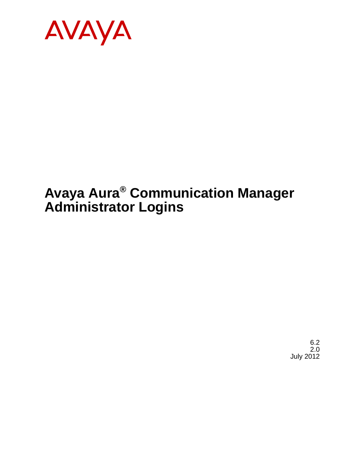

# **Avaya Aura® Communication Manager Administrator Logins**

6.2 2.0 July 2012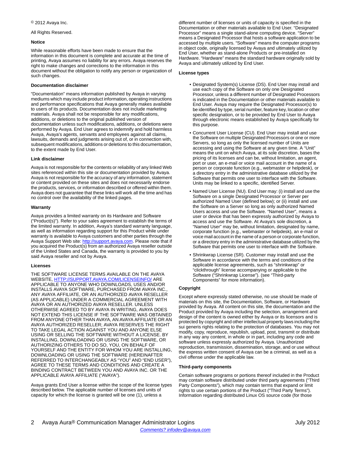<span id="page-1-0"></span>All Rights Reserved.

#### **Notice**

While reasonable efforts have been made to ensure that the information in this document is complete and accurate at the time of printing, Avaya assumes no liability for any errors. Avaya reserves the right to make changes and corrections to the information in this document without the obligation to notify any person or organization of such changes.

#### **Documentation disclaimer**

"Documentation" means information published by Avaya in varying mediums which may include product information, operating instructions and performance specifications that Avaya generally makes available to users of its products. Documentation does not include marketing materials. Avaya shall not be responsible for any modifications, additions, or deletions to the original published version of documentation unless such modifications, additions, or deletions were performed by Avaya. End User agrees to indemnify and hold harmless Avaya, Avaya's agents, servants and employees against all claims, lawsuits, demands and judgments arising out of, or in connection with, subsequent modifications, additions or deletions to this documentation, to the extent made by End User.

#### **Link disclaimer**

Avaya is not responsible for the contents or reliability of any linked Web sites referenced within this site or documentation provided by Avaya. Avaya is not responsible for the accuracy of any information, statement or content provided on these sites and does not necessarily endorse the products, services, or information described or offered within them. Avaya does not guarantee that these links will work all the time and has no control over the availability of the linked pages.

#### **Warranty**

Avaya provides a limited warranty on its Hardware and Software ("Product(s)"). Refer to your sales agreement to establish the terms of the limited warranty. In addition, Avaya's standard warranty language, as well as information regarding support for this Product while under warranty is available to Avaya customers and other parties through the Avaya Support Web site: [http://support.avaya.com.](http://support.avaya.com) Please note that if you acquired the Product(s) from an authorized Avaya reseller outside of the United States and Canada, the warranty is provided to you by said Avaya reseller and not by Avaya.

#### **Licenses**

THE SOFTWARE LICENSE TERMS AVAILABLE ON THE AVAYA WEBSITE, [HTTP://SUPPORT.AVAYA.COM/LICENSEINFO/](http://www.avaya.com/support/LicenseInfo) ARE APPLICABLE TO ANYONE WHO DOWNLOADS, USES AND/OR INSTALLS AVAYA SOFTWARE, PURCHASED FROM AVAYA INC., ANY AVAYA AFFILIATE, OR AN AUTHORIZED AVAYA RESELLER (AS APPLICABLE) UNDER A COMMERCIAL AGREEMENT WITH AVAYA OR AN AUTHORIZED AVAYA RESELLER. UNLESS OTHERWISE AGREED TO BY AVAYA IN WRITING, AVAYA DOES NOT EXTEND THIS LICENSE IF THE SOFTWARE WAS OBTAINED FROM ANYONE OTHER THAN AVAYA, AN AVAYA AFFILIATE OR AN AVAYA AUTHORIZED RESELLER; AVAYA RESERVES THE RIGHT TO TAKE LEGAL ACTION AGAINST YOU AND ANYONE ELSE USING OR SELLING THE SOFTWARE WITHOUT A LICENSE. BY INSTALLING, DOWNLOADING OR USING THE SOFTWARE, OR AUTHORIZING OTHERS TO DO SO, YOU, ON BEHALF OF YOURSELF AND THE ENTITY FOR WHOM YOU ARE INSTALLING. DOWNLOADING OR USING THE SOFTWARE (HEREINAFTER REFERRED TO INTERCHANGEABLY AS "YOU" AND "END USER"), AGREE TO THESE TERMS AND CONDITIONS AND CREATE A BINDING CONTRACT BETWEEN YOU AND AVAYA INC. OR THE APPLICABLE AVAYA AFFILIATE ("AVAYA").

Avaya grants End User a license within the scope of the license types described below. The applicable number of licenses and units of capacity for which the license is granted will be one (1), unless a

different number of licenses or units of capacity is specified in the Documentation or other materials available to End User. "Designated Processor" means a single stand-alone computing device. "Server" means a Designated Processor that hosts a software application to be accessed by multiple users. "Software" means the computer programs in object code, originally licensed by Avaya and ultimately utilized by End User, whether as stand-alone Products or pre-installed on Hardware. "Hardware" means the standard hardware originally sold by Avaya and ultimately utilized by End User.

#### **License types**

- Designated System(s) License (DS). End User may install and use each copy of the Software on only one Designated Processor, unless a different number of Designated Processors is indicated in the Documentation or other materials available to End User. Avaya may require the Designated Processor(s) to be identified by type, serial number, feature key, location or other specific designation, or to be provided by End User to Avaya through electronic means established by Avaya specifically for this purpose.
- Concurrent User License (CU). End User may install and use the Software on multiple Designated Processors or one or more Servers, so long as only the licensed number of Units are accessing and using the Software at any given time. A "Unit" means the unit on which Avaya, at its sole discretion, bases the pricing of its licenses and can be, without limitation, an agent, port or user, an e-mail or voice mail account in the name of a person or corporate function (e.g., webmaster or helpdesk), or a directory entry in the administrative database utilized by the Software that permits one user to interface with the Software. Units may be linked to a specific, identified Server.
- Named User License (NU). End User may: (i) install and use the Software on a single Designated Processor or Server per authorized Named User (defined below); or (ii) install and use the Software on a Server so long as only authorized Named Users access and use the Software. "Named User", means a user or device that has been expressly authorized by Avaya to access and use the Software. At Avaya's sole discretion, a "Named User" may be, without limitation, designated by name, corporate function (e.g., webmaster or helpdesk), an e-mail or voice mail account in the name of a person or corporate function, or a directory entry in the administrative database utilized by the Software that permits one user to interface with the Software.
- Shrinkwrap License (SR). Customer may install and use the Software in accordance with the terms and conditions of the applicable license agreements, such as "shrinkwrap" or "clickthrough" license accompanying or applicable to the Software ("Shrinkwrap License"). (see "Third-party Components" for more information).

#### **Copyright**

Except where expressly stated otherwise, no use should be made of materials on this site, the Documentation, Software, or Hardware provided by Avaya. All content on this site, the documentation and the Product provided by Avaya including the selection, arrangement and design of the content is owned either by Avaya or its licensors and is protected by copyright and other intellectual property laws including the sui generis rights relating to the protection of databases. You may not modify, copy, reproduce, republish, upload, post, transmit or distribute in any way any content, in whole or in part, including any code and software unless expressly authorized by Avaya. Unauthorized reproduction, transmission, dissemination, storage, and or use without the express written consent of Avaya can be a criminal, as well as a civil offense under the applicable law.

#### **Third-party components**

Certain software programs or portions thereof included in the Product may contain software distributed under third party agreements ("Third Party Components"), which may contain terms that expand or limit rights to use certain portions of the Product ("Third Party Terms"). Information regarding distributed Linux OS source code (for those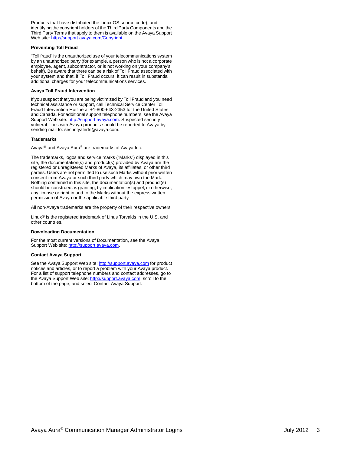Products that have distributed the Linux OS source code), and identifying the copyright holders of the Third Party Components and the Third Party Terms that apply to them is available on the Avaya Support Web site:<http://support.avaya.com/Copyright>.

#### **Preventing Toll Fraud**

"Toll fraud" is the unauthorized use of your telecommunications system by an unauthorized party (for example, a person who is not a corporate employee, agent, subcontractor, or is not working on your company's behalf). Be aware that there can be a risk of Toll Fraud associated with your system and that, if Toll Fraud occurs, it can result in substantial additional charges for your telecommunications services.

#### **Avaya Toll Fraud Intervention**

If you suspect that you are being victimized by Toll Fraud and you need technical assistance or support, call Technical Service Center Toll Fraud Intervention Hotline at +1-800-643-2353 for the United States and Canada. For additional support telephone numbers, see the Avaya Support Web site: <http://support.avaya.com>. Suspected security vulnerabilities with Avaya products should be reported to Avaya by sending mail to: securityalerts@avaya.com.

#### **Trademarks**

Avaya<sup>®</sup> and Avaya Aura<sup>®</sup> are trademarks of Avaya Inc.

The trademarks, logos and service marks ("Marks") displayed in this site, the documentation(s) and product(s) provided by Avaya are the registered or unregistered Marks of Avaya, its affiliates, or other third parties. Users are not permitted to use such Marks without prior written consent from Avaya or such third party which may own the Mark. Nothing contained in this site, the documentation(s) and product(s) should be construed as granting, by implication, estoppel, or otherwise, any license or right in and to the Marks without the express written permission of Avaya or the applicable third party.

All non-Avaya trademarks are the property of their respective owners.

Linux® is the registered trademark of Linus Torvalds in the U.S. and other countries.

#### **Downloading Documentation**

For the most current versions of Documentation, see the Avaya Support Web site: <http://support.avaya.com>.

#### **Contact Avaya Support**

See the Avaya Support Web site:<http://support.avaya.com>for product notices and articles, or to report a problem with your Avaya product. For a list of support telephone numbers and contact addresses, go to the Avaya Support Web site: [http://support.avaya.com,](http://support.avaya.com) scroll to the bottom of the page, and select Contact Avaya Support.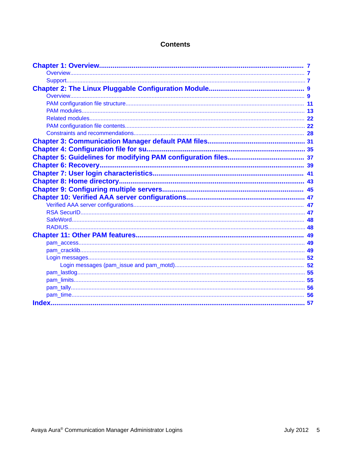#### **Contents**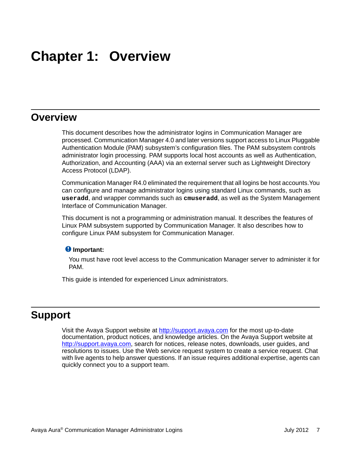# <span id="page-6-0"></span>**Chapter 1: Overview**

## **Overview**

This document describes how the administrator logins in Communication Manager are processed. Communication Manager 4.0 and later versions support access to Linux Pluggable Authentication Module (PAM) subsystem's configuration files. The PAM subsystem controls administrator login processing. PAM supports local host accounts as well as Authentication, Authorization, and Accounting (AAA) via an external server such as Lightweight Directory Access Protocol (LDAP).

Communication Manager R4.0 eliminated the requirement that all logins be host accounts.You can configure and manage administrator logins using standard Linux commands, such as **useradd**, and wrapper commands such as **cmuseradd**, as well as the System Management Interface of Communication Manager.

This document is not a programming or administration manual. It describes the features of Linux PAM subsystem supported by Communication Manager. It also describes how to configure Linux PAM subsystem for Communication Manager.

#### *<u>O* Important:</u>

You must have root level access to the Communication Manager server to administer it for PAM.

This guide is intended for experienced Linux administrators.

## **Support**

Visit the Avaya Support website at <http://support.avaya.com> for the most up-to-date documentation, product notices, and knowledge articles. On the Avaya Support website at <http://support.avaya.com>, search for notices, release notes, downloads, user guides, and resolutions to issues. Use the Web service request system to create a service request. Chat with live agents to help answer questions. If an issue requires additional expertise, agents can quickly connect you to a support team.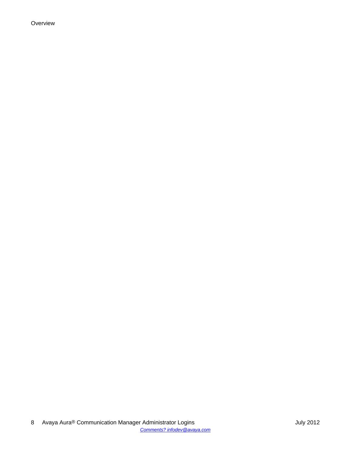**Overview**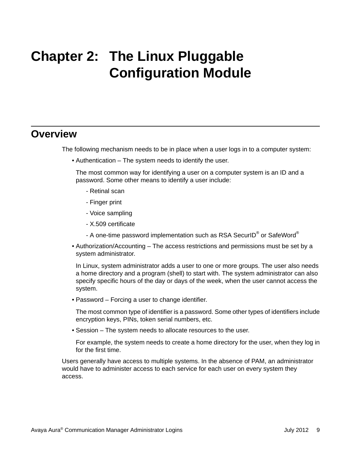# <span id="page-8-0"></span>**Chapter 2: The Linux Pluggable Configuration Module**

## **Overview**

The following mechanism needs to be in place when a user logs in to a computer system:

• Authentication – The system needs to identify the user.

The most common way for identifying a user on a computer system is an ID and a password. Some other means to identify a user include:

- Retinal scan
- Finger print
- Voice sampling
- X.509 certificate
- A one-time password implementation such as RSA SecurID $^\circ$  or SafeWord $^\circ$
- Authorization/Accounting The access restrictions and permissions must be set by a system administrator.

In Linux, system administrator adds a user to one or more groups. The user also needs a home directory and a program (shell) to start with. The system administrator can also specify specific hours of the day or days of the week, when the user cannot access the system.

• Password – Forcing a user to change identifier.

The most common type of identifier is a password. Some other types of identifiers include encryption keys, PINs, token serial numbers, etc.

• Session – The system needs to allocate resources to the user.

For example, the system needs to create a home directory for the user, when they log in for the first time.

Users generally have access to multiple systems. In the absence of PAM, an administrator would have to administer access to each service for each user on every system they access.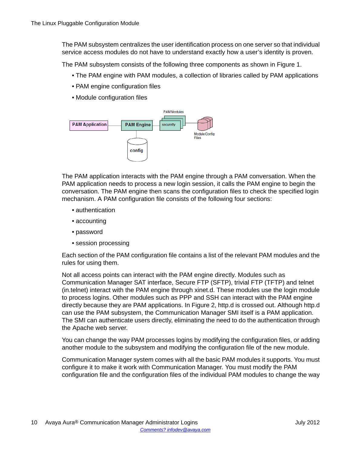The PAM subsystem centralizes the user identification process on one server so that individual service access modules do not have to understand exactly how a user's identity is proven.

The PAM subsystem consists of the following three components as shown in Figure 1.

- The PAM engine with PAM modules, a collection of libraries called by PAM applications
- PAM engine configuration files
- Module configuration files



The PAM application interacts with the PAM engine through a PAM conversation. When the PAM application needs to process a new login session, it calls the PAM engine to begin the conversation. The PAM engine then scans the configuration files to check the specified login mechanism. A PAM configuration file consists of the following four sections:

- authentication
- accounting
- password
- session processing

Each section of the PAM configuration file contains a list of the relevant PAM modules and the rules for using them.

Not all access points can interact with the PAM engine directly. Modules such as Communication Manager SAT interface, Secure FTP (SFTP), trivial FTP (TFTP) and telnet (in.telnet) interact with the PAM engine through xinet.d. These modules use the login module to process logins. Other modules such as PPP and SSH can interact with the PAM engine directly because they are PAM applications. In Figure 2, http.d is crossed out. Although http.d can use the PAM subsystem, the Communication Manager SMI itself is a PAM application. The SMI can authenticate users directly, eliminating the need to do the authentication through the Apache web server.

You can change the way PAM processes logins by modifying the configuration files, or adding another module to the subsystem and modifying the configuration file of the new module.

Communication Manager system comes with all the basic PAM modules it supports. You must configure it to make it work with Communication Manager. You must modify the PAM configuration file and the configuration files of the individual PAM modules to change the way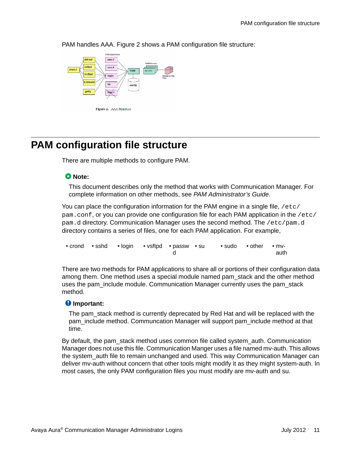<span id="page-10-0"></span>PAM handles AAA. Figure 2 shows a PAM configuration file structure:



# **PAM configuration file structure**

There are multiple methods to configure PAM.

#### **Note:**

This document describes only the method that works with Communication Manager. For complete information on other methods, see *PAM Administrator's Guide*.

You can place the configuration information for the PAM engine in a single file,  $/etc/$ pam.conf, or you can provide one configuration file for each PAM application in the /etc/ pam.d directory. Communication Manager uses the second method. The /etc/pam.d directory contains a series of files, one for each PAM application. For example,

```
• crond • sshd • login • vsftpd • passw • su
                                   d
                                                  • sudo • other • mv-
                                                                    auth
```
There are two methods for PAM applications to share all or portions of their configuration data among them. One method uses a special module named pam\_stack and the other method uses the pam\_include module. Communication Manager currently uses the pam\_stack method.

#### *<u>O* Important:</u>

The pam\_stack method is currently deprecated by Red Hat and will be replaced with the pam\_include method. Communcation Manager will support pam\_include method at that time.

By default, the pam stack method uses common file called system auth. Communication Manager does not use this file. Communication Manger uses a file named mv-auth. This allows the system\_auth file to remain unchanged and used. This way Communication Manager can deliver mv-auth without concern that other tools might modify it as they might system-auth. In most cases, the only PAM configuration files you must modify are mv-auth and su.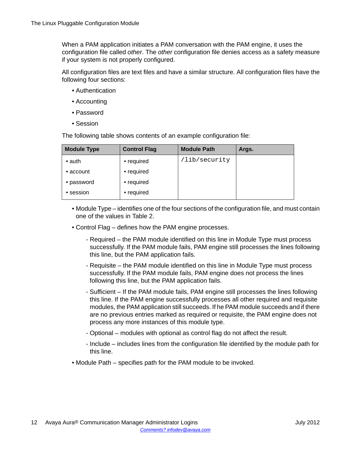When a PAM application initiates a PAM conversation with the PAM engine, it uses the configuration file called *other*. The *other* configuration file denies access as a safety measure if your system is not properly configured.

All configuration files are text files and have a similar structure. All configuration files have the following four sections:

- Authentication
- Accounting
- Password
- Session

The following table shows contents of an example configuration file:

| <b>Module Type</b> | <b>Control Flag</b> | <b>Module Path</b> | Args. |
|--------------------|---------------------|--------------------|-------|
| $\bullet$ auth     | • required          | /lib/security      |       |
| $\bullet$ account  | • required          |                    |       |
| • password         | • required          |                    |       |
| • session          | • required          |                    |       |

- Module Type identifies one of the four sections of the configuration file, and must contain one of the values in Table 2.
- Control Flag defines how the PAM engine processes.
	- Required the PAM module identified on this line in Module Type must process successfully. If the PAM module fails, PAM engine still processes the lines following this line, but the PAM application fails.
	- Requisite the PAM module identified on this line in Module Type must process successfully. If the PAM module fails, PAM engine does not process the lines following this line, but the PAM application fails.
	- Sufficient If the PAM module fails, PAM engine still processes the lines following this line. If the PAM engine successfully processes all other required and requisite modules, the PAM application still succeeds. If he PAM module succeeds and if there are no previous entries marked as required or requisite, the PAM engine does not process any more instances of this module type.
	- Optional modules with optional as control flag do not affect the result.
	- Include includes lines from the configuration file identified by the module path for this line.
- Module Path specifies path for the PAM module to be invoked.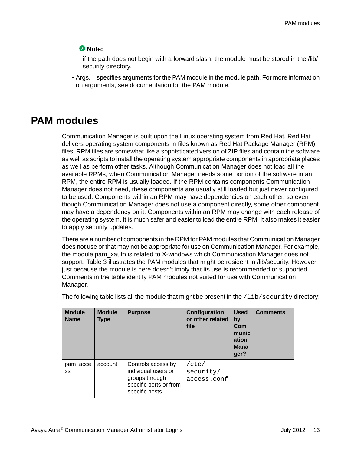#### <span id="page-12-0"></span> **Note:**

if the path does not begin with a forward slash, the module must be stored in the /lib/ security directory.

• Args. – specifies arguments for the PAM module in the module path. For more information on arguments, see documentation for the PAM module.

## **PAM modules**

Communication Manager is built upon the Linux operating system from Red Hat. Red Hat delivers operating system components in files known as Red Hat Package Manager (RPM) files. RPM files are somewhat like a sophisticated version of ZIP files and contain the software as well as scripts to install the operating system appropriate components in appropriate places as well as perform other tasks. Although Communication Manager does not load all the available RPMs, when Communication Manager needs some portion of the software in an RPM, the entire RPM is usually loaded. If the RPM contains components Communication Manager does not need, these components are usually still loaded but just never configured to be used. Components within an RPM may have dependencies on each other, so even though Communication Manager does not use a component directly, some other component may have a dependency on it. Components within an RPM may change with each release of the operating system. It is much safer and easier to load the entire RPM. It also makes it easier to apply security updates.

There are a number of components in the RPM for PAM modules that Communication Manager does not use or that may not be appropriate for use on Communication Manager. For example, the module pam\_xauth is related to X-windows which Communication Manager does not support. Table 3 illustrates the PAM modules that might be resident in /lib/security. However, just because the module is here doesn't imply that its use is recommended or supported. Comments in the table identify PAM modules not suited for use with Communication Manager.

| <b>Module</b><br><b>Name</b> | <b>Module</b><br>Type | <b>Purpose</b>                                                                                           | Configuration<br>or other related<br>file | <b>Used</b><br>by<br>Com<br>munic<br>ation<br><b>Mana</b><br>ger? | <b>Comments</b> |
|------------------------------|-----------------------|----------------------------------------------------------------------------------------------------------|-------------------------------------------|-------------------------------------------------------------------|-----------------|
| pam acce<br>SS               | account               | Controls access by<br>individual users or<br>groups through<br>specific ports or from<br>specific hosts. | /etc/<br>security/<br>access.conf         |                                                                   |                 |

The following table lists all the module that might be present in the  $/lib/security$  directory: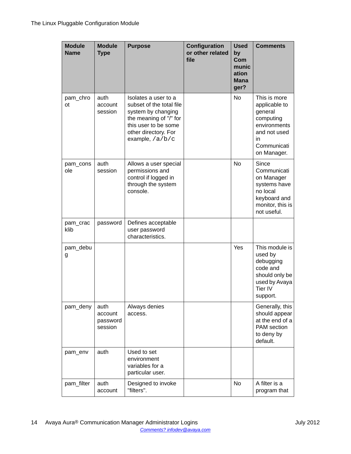| <b>Module</b><br><b>Name</b> | <b>Module</b><br><b>Type</b>           | <b>Purpose</b>                                                                                                                                                      | Configuration<br>or other related<br>file | <b>Used</b><br>by<br>Com<br>munic<br>ation<br><b>Mana</b><br>ger? | <b>Comments</b>                                                                                                           |
|------------------------------|----------------------------------------|---------------------------------------------------------------------------------------------------------------------------------------------------------------------|-------------------------------------------|-------------------------------------------------------------------|---------------------------------------------------------------------------------------------------------------------------|
| pam_chro<br>ot               | auth<br>account<br>session             | Isolates a user to a<br>subset of the total file<br>system by changing<br>the meaning of "/" for<br>this user to be some<br>other directory. For<br>example, /a/b/c |                                           | <b>No</b>                                                         | This is more<br>applicable to<br>general<br>computing<br>environments<br>and not used<br>in<br>Communicati<br>on Manager. |
| pam_cons<br>ole              | auth<br>session                        | Allows a user special<br>permissions and<br>control if logged in<br>through the system<br>console.                                                                  |                                           | <b>No</b>                                                         | Since<br>Communicati<br>on Manager<br>systems have<br>no local<br>keyboard and<br>monitor, this is<br>not useful.         |
| pam_crac<br>klib             | password                               | Defines acceptable<br>user password<br>characteristics.                                                                                                             |                                           |                                                                   |                                                                                                                           |
| pam_debu<br>g                |                                        |                                                                                                                                                                     |                                           | Yes                                                               | This module is<br>used by<br>debugging<br>code and<br>should only be<br>used by Avaya<br>Tier IV<br>support.              |
| pam_deny                     | auth<br>account<br>password<br>session | Always denies<br>access.                                                                                                                                            |                                           |                                                                   | Generally, this<br>should appear<br>at the end of a<br>PAM section<br>to deny by<br>default.                              |
| pam_env                      | auth                                   | Used to set<br>environment<br>variables for a<br>particular user.                                                                                                   |                                           |                                                                   |                                                                                                                           |
| pam_filter                   | auth<br>account                        | Designed to invoke<br>"filters".                                                                                                                                    |                                           | No                                                                | A filter is a<br>program that                                                                                             |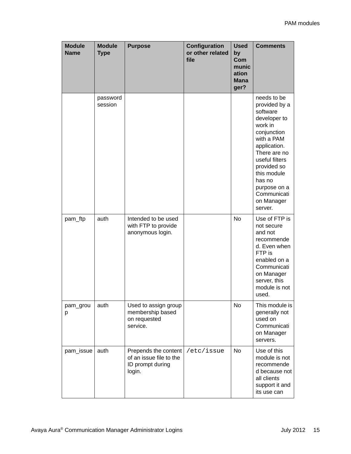| <b>Module</b><br><b>Name</b> | <b>Module</b><br><b>Type</b> | <b>Purpose</b>                                                                | <b>Configuration</b><br>or other related<br>file | <b>Used</b><br>by<br>Com<br>munic<br>ation<br><b>Mana</b><br>ger? | <b>Comments</b>                                                                                                                                                                                                                                    |
|------------------------------|------------------------------|-------------------------------------------------------------------------------|--------------------------------------------------|-------------------------------------------------------------------|----------------------------------------------------------------------------------------------------------------------------------------------------------------------------------------------------------------------------------------------------|
|                              | password<br>session          |                                                                               |                                                  |                                                                   | needs to be<br>provided by a<br>software<br>developer to<br>work in<br>conjunction<br>with a PAM<br>application.<br>There are no<br>useful filters<br>provided so<br>this module<br>has no<br>purpose on a<br>Communicati<br>on Manager<br>server. |
| pam_ftp                      | auth                         | Intended to be used<br>with FTP to provide<br>anonymous login.                |                                                  | <b>No</b>                                                         | Use of FTP is<br>not secure<br>and not<br>recommende<br>d. Even when<br>FTP is<br>enabled on a<br>Communicati<br>on Manager<br>server, this<br>module is not<br>used.                                                                              |
| pam_grou<br>p                | auth                         | Used to assign group<br>membership based<br>on requested<br>service.          |                                                  | No                                                                | This module is<br>generally not<br>used on<br>Communicati<br>on Manager<br>servers.                                                                                                                                                                |
| pam_issue                    | auth                         | Prepends the content<br>of an issue file to the<br>ID prompt during<br>login. | /etc/issue                                       | <b>No</b>                                                         | Use of this<br>module is not<br>recommende<br>d because not<br>all clients<br>support it and<br>its use can                                                                                                                                        |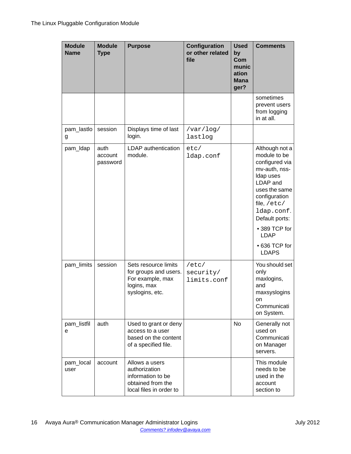| <b>Module</b><br><b>Name</b> | <b>Module</b><br><b>Type</b> | <b>Purpose</b>                                                                                       | Configuration<br>or other related<br>file | <b>Used</b><br>by<br>Com<br>munic<br>ation<br><b>Mana</b><br>ger? | <b>Comments</b>                                                                                                                                                                                                                              |
|------------------------------|------------------------------|------------------------------------------------------------------------------------------------------|-------------------------------------------|-------------------------------------------------------------------|----------------------------------------------------------------------------------------------------------------------------------------------------------------------------------------------------------------------------------------------|
|                              |                              |                                                                                                      |                                           |                                                                   | sometimes<br>prevent users<br>from logging<br>in at all.                                                                                                                                                                                     |
| pam_lastlo<br>g              | session                      | Displays time of last<br>login.                                                                      | /var/log/<br>lastlog                      |                                                                   |                                                                                                                                                                                                                                              |
| pam_Idap                     | auth<br>account<br>password  | LDAP authentication<br>module.                                                                       | etc/<br>ldap.conf                         |                                                                   | Although not a<br>module to be<br>configured via<br>mv-auth, nss-<br>Idap uses<br>LDAP and<br>uses the same<br>configuration<br>file, /etc/<br>ldap.conf.<br>Default ports:<br>• 389 TCP for<br><b>LDAP</b><br>• 636 TCP for<br><b>LDAPS</b> |
| pam_limits                   | session                      | Sets resource limits<br>for groups and users.<br>For example, max<br>logins, max<br>syslogins, etc.  | /etc/<br>security/<br>limits.conf         |                                                                   | You should set<br>only<br>maxlogins,<br>and<br>maxsyslogins<br>on<br>Communicati<br>on System.                                                                                                                                               |
| pam_listfil<br>e             | auth                         | Used to grant or deny<br>access to a user<br>based on the content<br>of a specified file.            |                                           | No                                                                | Generally not<br>used on<br>Communicati<br>on Manager<br>servers.                                                                                                                                                                            |
| pam_local<br>user            | account                      | Allows a users<br>authorization<br>information to be<br>obtained from the<br>local files in order to |                                           |                                                                   | This module<br>needs to be<br>used in the<br>account<br>section to                                                                                                                                                                           |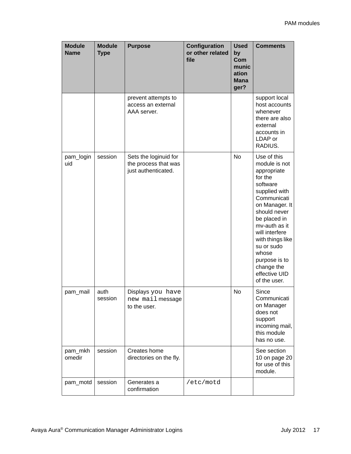| <b>Module</b><br><b>Name</b> | <b>Module</b><br><b>Type</b> | <b>Purpose</b>                                                       | Configuration<br>or other related<br>file | <b>Used</b><br>by<br>Com<br>munic<br>ation<br><b>Mana</b><br>ger? | <b>Comments</b>                                                                                                                                                                                                                                                                                    |
|------------------------------|------------------------------|----------------------------------------------------------------------|-------------------------------------------|-------------------------------------------------------------------|----------------------------------------------------------------------------------------------------------------------------------------------------------------------------------------------------------------------------------------------------------------------------------------------------|
|                              |                              | prevent attempts to<br>access an external<br>AAA server.             |                                           |                                                                   | support local<br>host accounts<br>whenever<br>there are also<br>external<br>accounts in<br>LDAP or<br>RADIUS.                                                                                                                                                                                      |
| pam_login<br>uid             | session                      | Sets the loginuid for<br>the process that was<br>just authenticated. |                                           | <b>No</b>                                                         | Use of this<br>module is not<br>appropriate<br>for the<br>software<br>supplied with<br>Communicati<br>on Manager. It<br>should never<br>be placed in<br>mv-auth as it<br>will interfere<br>with things like<br>su or sudo<br>whose<br>purpose is to<br>change the<br>effective UID<br>of the user. |
| pam_mail                     | auth<br>session              | Displays you have<br>new mail message<br>to the user.                |                                           | <b>No</b>                                                         | Since<br>Communicati<br>on Manager<br>does not<br>support<br>incoming mail,<br>this module<br>has no use.                                                                                                                                                                                          |
| pam_mkh<br>omedir            | session                      | Creates home<br>directories on the fly.                              |                                           |                                                                   | See section<br>10 on page 20<br>for use of this<br>module.                                                                                                                                                                                                                                         |
| pam_motd                     | session                      | Generates a<br>confirmation                                          | /etc/motd                                 |                                                                   |                                                                                                                                                                                                                                                                                                    |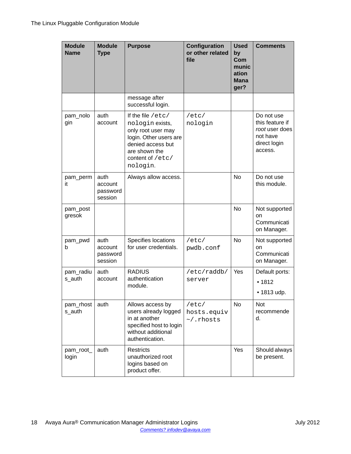| <b>Module</b><br><b>Name</b> | <b>Module</b><br><b>Type</b>           | <b>Purpose</b>                                                                                                                                               | Configuration<br>or other related<br>file | <b>Used</b><br>by<br>Com<br>munic<br>ation<br><b>Mana</b><br>ger? | <b>Comments</b>                                                                        |
|------------------------------|----------------------------------------|--------------------------------------------------------------------------------------------------------------------------------------------------------------|-------------------------------------------|-------------------------------------------------------------------|----------------------------------------------------------------------------------------|
|                              |                                        | message after<br>successful login.                                                                                                                           |                                           |                                                                   |                                                                                        |
| pam_nolo<br>gin              | auth<br>account                        | If the file $/etc/$<br>nologin exists,<br>only root user may<br>login. Other users are<br>denied access but<br>are shown the<br>content of /etc/<br>nologin. | /etc/<br>nologin                          |                                                                   | Do not use<br>this feature if<br>root user does<br>not have<br>direct login<br>access. |
| pam_perm<br>it               | auth<br>account<br>password<br>session | Always allow access.                                                                                                                                         |                                           | <b>No</b>                                                         | Do not use<br>this module.                                                             |
| pam_post<br>gresok           |                                        |                                                                                                                                                              |                                           | <b>No</b>                                                         | Not supported<br>on<br>Communicati<br>on Manager.                                      |
| pam_pwd<br>b                 | auth<br>account<br>password<br>session | Specifies locations<br>for user credentials.                                                                                                                 | /etc/<br>pwdb.conf                        | <b>No</b>                                                         | Not supported<br>on<br>Communicati<br>on Manager.                                      |
| pam_radiu<br>s auth          | auth<br>account                        | <b>RADIUS</b><br>authentication<br>module.                                                                                                                   | /etc/raddb/<br>server                     | Yes                                                               | Default ports:<br>• 1812<br>• 1813 udp.                                                |
| pam_rhost<br>s_auth          | auth                                   | Allows access by<br>users already logged<br>in at another<br>specified host to login<br>without additional<br>authentication.                                | /etc/<br>hosts.equiv<br>$\sim$ /. rhosts  | <b>No</b>                                                         | <b>Not</b><br>recommende<br>d.                                                         |
| pam_root_<br>login           | auth                                   | <b>Restricts</b><br>unauthorized root<br>logins based on<br>product offer.                                                                                   |                                           | Yes                                                               | Should always<br>be present.                                                           |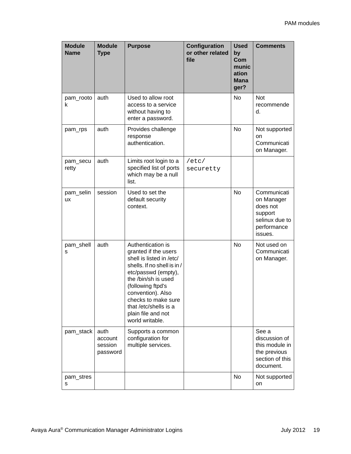| <b>Module</b><br><b>Name</b> | <b>Module</b><br><b>Type</b>           | <b>Purpose</b>                                                                                                                                                                                                                                                                        | Configuration<br>or other related<br>file | <b>Used</b><br>by<br><b>Com</b><br>munic<br>ation<br><b>Mana</b><br>ger? | <b>Comments</b>                                                                              |
|------------------------------|----------------------------------------|---------------------------------------------------------------------------------------------------------------------------------------------------------------------------------------------------------------------------------------------------------------------------------------|-------------------------------------------|--------------------------------------------------------------------------|----------------------------------------------------------------------------------------------|
| pam_rooto<br>k               | auth                                   | Used to allow root<br>access to a service<br>without having to<br>enter a password.                                                                                                                                                                                                   |                                           | <b>No</b>                                                                | Not<br>recommende<br>d.                                                                      |
| pam_rps                      | auth                                   | Provides challenge<br>response<br>authentication.                                                                                                                                                                                                                                     |                                           | <b>No</b>                                                                | Not supported<br>on<br>Communicati<br>on Manager.                                            |
| pam_secu<br>retty            | auth                                   | Limits root login to a<br>specified list of ports<br>which may be a null<br>list.                                                                                                                                                                                                     | /etc/<br>securetty                        |                                                                          |                                                                                              |
| pam_selin<br><b>UX</b>       | session                                | Used to set the<br>default security<br>context.                                                                                                                                                                                                                                       |                                           | <b>No</b>                                                                | Communicati<br>on Manager<br>does not<br>support<br>selinux due to<br>performance<br>issues. |
| pam_shell<br>S               | auth                                   | Authentication is<br>granted if the users<br>shell is listed in /etc/<br>shells. If no shell is in /<br>etc/passwd (empty),<br>the /bin/sh is used<br>(following ftpd's<br>convention). Also<br>checks to make sure<br>that /etc/shells is a<br>plain file and not<br>world writable. |                                           | No                                                                       | Not used on<br>Communicati<br>on Manager.                                                    |
| pam_stack                    | auth<br>account<br>session<br>password | Supports a common<br>configuration for<br>multiple services.                                                                                                                                                                                                                          |                                           |                                                                          | See a<br>discussion of<br>this module in<br>the previous<br>section of this<br>document.     |
| pam_stres<br>s               |                                        |                                                                                                                                                                                                                                                                                       |                                           | No                                                                       | Not supported<br>on                                                                          |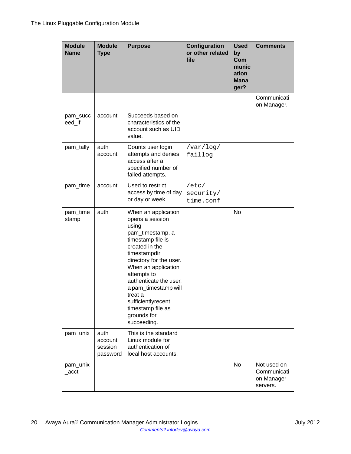| <b>Module</b><br><b>Name</b> | <b>Module</b><br><b>Type</b>   | <b>Purpose</b>                                                                                                                                                                                                                                                                                                                                            | Configuration<br>or other related<br>file | <b>Used</b><br>by<br>Com<br>munic<br>ation<br><b>Mana</b><br>ger? | <b>Comments</b>                                      |
|------------------------------|--------------------------------|-----------------------------------------------------------------------------------------------------------------------------------------------------------------------------------------------------------------------------------------------------------------------------------------------------------------------------------------------------------|-------------------------------------------|-------------------------------------------------------------------|------------------------------------------------------|
|                              |                                |                                                                                                                                                                                                                                                                                                                                                           |                                           |                                                                   | Communicati<br>on Manager.                           |
| pam_succ<br>eed_if           | account                        | Succeeds based on<br>characteristics of the<br>account such as UID<br>value.                                                                                                                                                                                                                                                                              |                                           |                                                                   |                                                      |
| pam_tally                    | auth<br>account                | Counts user login<br>attempts and denies<br>access after a<br>specified number of<br>failed attempts.                                                                                                                                                                                                                                                     | /var/log/<br>faillog                      |                                                                   |                                                      |
| pam_time                     | account                        | Used to restrict<br>access by time of day<br>or day or week.                                                                                                                                                                                                                                                                                              | /etc/<br>security/<br>time.conf           |                                                                   |                                                      |
| pam_time<br>stamp            | auth<br>auth                   | When an application<br>opens a session<br>using<br>pam_timestamp, a<br>timestamp file is<br>created in the<br>timestampdir<br>directory for the user.<br>When an application<br>attempts to<br>authenticate the user,<br>a pam_timestamp will<br>treat a<br>sufficientlyrecent<br>timestamp file as<br>grounds for<br>succeeding.<br>This is the standard |                                           | <b>No</b>                                                         |                                                      |
| pam_unix                     | account<br>session<br>password | Linux module for<br>authentication of<br>local host accounts.                                                                                                                                                                                                                                                                                             |                                           |                                                                   |                                                      |
| pam_unix<br>_acct            |                                |                                                                                                                                                                                                                                                                                                                                                           |                                           | <b>No</b>                                                         | Not used on<br>Communicati<br>on Manager<br>servers. |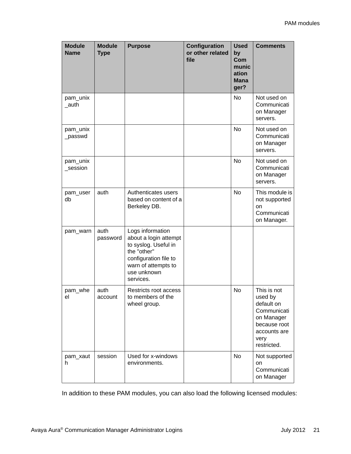| <b>Module</b><br><b>Name</b> | <b>Module</b><br><b>Type</b> | <b>Purpose</b>                                                                                                                                               | <b>Configuration</b><br>or other related<br>file | <b>Used</b><br>by<br>Com<br>munic<br>ation<br><b>Mana</b><br>ger? | <b>Comments</b>                                                                                                          |
|------------------------------|------------------------------|--------------------------------------------------------------------------------------------------------------------------------------------------------------|--------------------------------------------------|-------------------------------------------------------------------|--------------------------------------------------------------------------------------------------------------------------|
| pam_unix<br>$\_$ auth        |                              |                                                                                                                                                              |                                                  | <b>No</b>                                                         | Not used on<br>Communicati<br>on Manager<br>servers.                                                                     |
| pam_unix<br>_passwd          |                              |                                                                                                                                                              |                                                  | <b>No</b>                                                         | Not used on<br>Communicati<br>on Manager<br>servers.                                                                     |
| pam_unix<br>_session         |                              |                                                                                                                                                              |                                                  | <b>No</b>                                                         | Not used on<br>Communicati<br>on Manager<br>servers.                                                                     |
| pam_user<br>db               | auth                         | Authenticates users<br>based on content of a<br>Berkeley DB.                                                                                                 |                                                  | No                                                                | This module is<br>not supported<br>on<br>Communicati<br>on Manager.                                                      |
| pam_warn                     | auth<br>password             | Logs information<br>about a login attempt<br>to syslog. Useful in<br>the "other"<br>configuration file to<br>warn of attempts to<br>use unknown<br>services. |                                                  |                                                                   |                                                                                                                          |
| pam_whe<br>el l              | auth<br>account              | Restricts root access<br>to members of the<br>wheel group.                                                                                                   |                                                  | <b>No</b>                                                         | This is not<br>used by<br>default on<br>Communicati<br>on Manager<br>because root<br>accounts are<br>very<br>restricted. |
| pam_xaut<br>h.               | session                      | Used for x-windows<br>environments.                                                                                                                          |                                                  | No                                                                | Not supported<br>on<br>Communicati<br>on Manager                                                                         |

In addition to these PAM modules, you can also load the following licensed modules: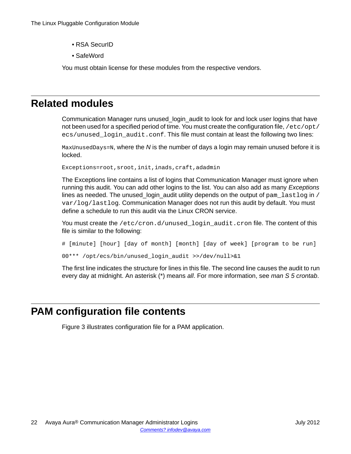- <span id="page-21-0"></span>• RSA SecurID
- SafeWord

You must obtain license for these modules from the respective vendors.

# **Related modules**

Communication Manager runs unused\_login\_audit to look for and lock user logins that have not been used for a specified period of time. You must create the configuration file,  $/etc$  /  $opt$  / ecs/unused login audit.conf. This file must contain at least the following two lines:

MaxUnusedDays=N, where the *N* is the number of days a login may remain unused before it is locked.

Exceptions=root, sroot, init, inads, craft, adadmin

The Exceptions line contains a list of logins that Communication Manager must ignore when running this audit. You can add other logins to the list. You can also add as many *Exceptions* lines as needed. The unused\_login\_audit utility depends on the output of  $pam\_lastlog$  in / var/log/lastlog. Communication Manager does not run this audit by default. You must define a schedule to run this audit via the Linux CRON service.

You must create the /etc/cron.d/unused\_login\_audit.cron file. The content of this file is similar to the following:

# [minute] [hour] [day of month] [month] [day of week] [program to be run]

00\*\*\* /opt/ecs/bin/unused\_login\_audit >>/dev/null>&1

The first line indicates the structure for lines in this file. The second line causes the audit to run every day at midnight. An asterisk (\*) means *all*. For more information, see *man S 5 crontab*.

# **PAM configuration file contents**

Figure 3 illustrates configuration file for a PAM application.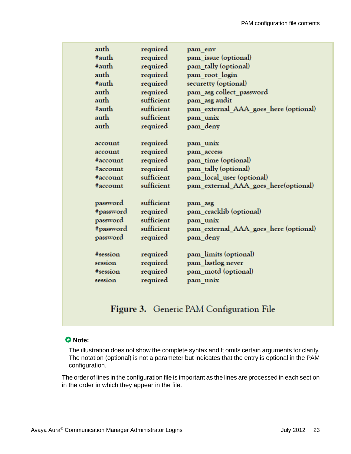| auth      | required   | pam_env                               |
|-----------|------------|---------------------------------------|
| #auth     | required   | pam_issue (optional)                  |
| #auth     | required   | pam_tally (optional)                  |
| auth      | required   | pam_root_login                        |
| #auth     | required   | securetty (optional)                  |
| auth      | required   | pam_asg collect_password              |
| auth      | sufficient | pam_asg audit                         |
| #auth     | sufficient | pam_external_AAA_goes_here (optional) |
| auth      | sufficient | pam_unix                              |
| auth      | required   | pam deny                              |
| account   | required   | pam_unix                              |
| account   | required   | pam access                            |
| #account  | required   | pam_time (optional)                   |
| #account  | required   | pam_tally (optional)                  |
| #account  | sufficient | pam_local_user (optional)             |
| #account  | sufficient | pam_external_AAA_goes_here(optional)  |
| password  | sufficient | pam_asg                               |
| #password | required   | pam_cracklib (optional)               |
| password  | sufficient | pam unix                              |
| #password | sufficient | pam_external_AAA_goes_here (optional) |
| password  | required   | pam_deny                              |
| #session  | required   | pam_limits (optional)                 |
| session   | required   | pam_lastlog never                     |
| #session  | required   | pam_motd (optional)                   |
| session   | required   | pam unix                              |

## Figure 3. Generic PAM Configuration File

#### **Note:**

The illustration does not show the complete syntax and It omits certain arguments for clarity. The notation (optional) is not a parameter but indicates that the entry is optional in the PAM configuration.

The order of lines in the configuration file is important as the lines are processed in each section in the order in which they appear in the file.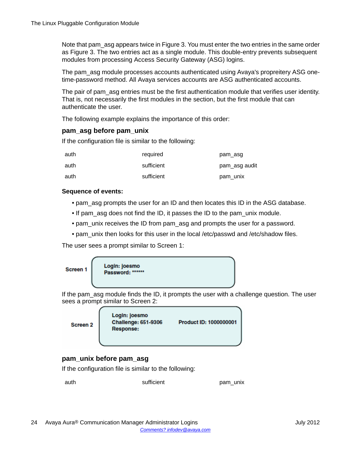Note that pam asg appears twice in Figure 3. You must enter the two entries in the same order as Figure 3. The two entries act as a single module. This double-entry prevents subsequent modules from processing Access Security Gateway (ASG) logins.

The pam\_asg module processes accounts authenticated using Avaya's propreitery ASG onetime-password method. All Avaya services accounts are ASG authenticated accounts.

The pair of pam\_asg entries must be the first authentication module that verifies user identity. That is, not necessarily the first modules in the section, but the first module that can authenticate the user.

The following example explains the importance of this order:

#### **pam\_asg before pam\_unix**

If the configuration file is similar to the following:

| auth | required   | pam_asg       |
|------|------------|---------------|
| auth | sufficient | pam_asg audit |
| auth | sufficient | pam_unix      |

#### **Sequence of events:**

- pam asg prompts the user for an ID and then locates this ID in the ASG database.
- If pam asg does not find the ID, it passes the ID to the pam unix module.
- pam\_unix receives the ID from pam\_asg and prompts the user for a password.
- pam unix then looks for this user in the local /etc/passwd and /etc/shadow files.

The user sees a prompt similar to Screen 1:

Screen 1



If the pam asg module finds the ID, it prompts the user with a challenge question. The user sees a prompt similar to Screen 2:

Screen<sub>2</sub>

| <b>Challenge: 651-9306</b> | <b>Product ID: 1000000001</b> |
|----------------------------|-------------------------------|
| Response:                  |                               |

#### **pam\_unix before pam\_asg**

If the configuration file is similar to the following:

auth sufficient pam unix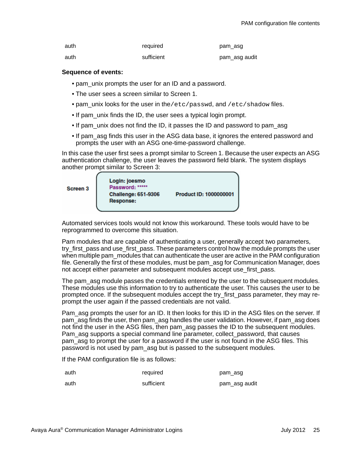| auth | required   | pam_asg       |
|------|------------|---------------|
| auth | sufficient | pam_asg audit |

#### **Sequence of events:**

- pam unix prompts the user for an ID and a password.
- The user sees a screen similar to Screen 1.
- pam\_unix looks for the user in the/etc/passwd, and /etc/shadow files.
- If pam unix finds the ID, the user sees a typical login prompt.
- If pam unix does not find the ID, it passes the ID and password to pam asg
- If pam asg finds this user in the ASG data base, it ignores the entered password and prompts the user with an ASG one-time-password challenge.

In this case the user first sees a prompt similar to Screen 1. Because the user expects an ASG authentication challenge, the user leaves the password field blank. The system displays another prompt similar to Screen 3:

#### Screen 3

Login: joesmo Password: \*\*\*\*\* **Challenge: 651-9306** Product ID: 1000000001 Response:

Automated services tools would not know this workaround. These tools would have to be reprogrammed to overcome this situation.

Pam modules that are capable of authenticating a user, generally accept two parameters, try first pass and use first pass. These parameters control how the module prompts the user when multiple pam modules that can authenticate the user are active in the PAM configuration file. Generally the first of these modules, must be pam\_asg for Communication Manager, does not accept either parameter and subsequent modules accept use\_first\_pass.

The pam asg module passes the credentials entered by the user to the subsequent modules. These modules use this information to try to authenticate the user. This causes the user to be prompted once. If the subsequent modules accept the try\_first\_pass parameter, they may reprompt the user again if the passed credentials are not valid.

Pam\_asg prompts the user for an ID. It then looks for this ID in the ASG files on the server. If pam\_asg finds the user, then pam\_asg handles the user validation. However, if pam\_asg does not find the user in the ASG files, then pam\_asg passes the ID to the subsequent modules. Pam asg supports a special command line parameter, collect password, that causes pam\_asg to prompt the user for a password if the user is not found in the ASG files. This password is not used by pam\_asg but is passed to the subsequent modules.

If the PAM configuration file is as follows:

| required |
|----------|
|          |

pam asg auth sufficient contracts auth pam\_asg audit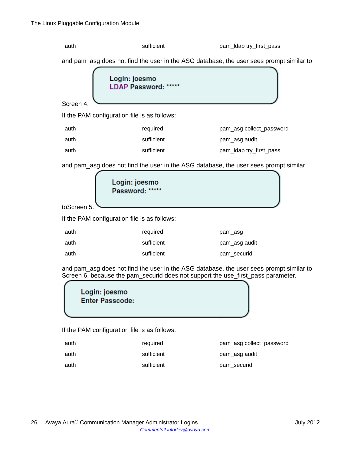| auth                                                                                                                                                                        | sufficient                                                                              | pam_ldap try_first_pass                                                              |  |  |
|-----------------------------------------------------------------------------------------------------------------------------------------------------------------------------|-----------------------------------------------------------------------------------------|--------------------------------------------------------------------------------------|--|--|
|                                                                                                                                                                             | and pam_asg does not find the user in the ASG database, the user sees prompt similar to |                                                                                      |  |  |
| Screen 4.                                                                                                                                                                   | Login: joesmo<br>LDAP Password: *****                                                   |                                                                                      |  |  |
|                                                                                                                                                                             | If the PAM configuration file is as follows:                                            |                                                                                      |  |  |
| auth                                                                                                                                                                        | required                                                                                | pam_asg collect_password                                                             |  |  |
| auth                                                                                                                                                                        | sufficient                                                                              | pam_asg audit                                                                        |  |  |
| auth                                                                                                                                                                        | sufficient                                                                              | pam_ldap try_first_pass                                                              |  |  |
|                                                                                                                                                                             |                                                                                         | and pam_asg does not find the user in the ASG database, the user sees prompt similar |  |  |
| Login: joesmo<br>Password: *****<br>toScreen 5.                                                                                                                             |                                                                                         |                                                                                      |  |  |
|                                                                                                                                                                             | If the PAM configuration file is as follows:                                            |                                                                                      |  |  |
| auth                                                                                                                                                                        | required                                                                                | pam_asg                                                                              |  |  |
| auth                                                                                                                                                                        | sufficient                                                                              | pam_asg audit                                                                        |  |  |
| auth                                                                                                                                                                        | sufficient                                                                              | pam_securid                                                                          |  |  |
| and pam_asg does not find the user in the ASG database, the user sees prompt similar to<br>Screen 6, because the pam_securid does not support the use_first_pass parameter. |                                                                                         |                                                                                      |  |  |
| Login: joesmo<br><b>Enter Passcode:</b>                                                                                                                                     |                                                                                         |                                                                                      |  |  |
| If the PAM configuration file is as follows:                                                                                                                                |                                                                                         |                                                                                      |  |  |
| auth                                                                                                                                                                        | required                                                                                | pam_asg collect_password                                                             |  |  |

| auth | required   | pam_asg collect_passwo |
|------|------------|------------------------|
| auth | sufficient | pam asg audit          |
| auth | sufficient | pam_securid            |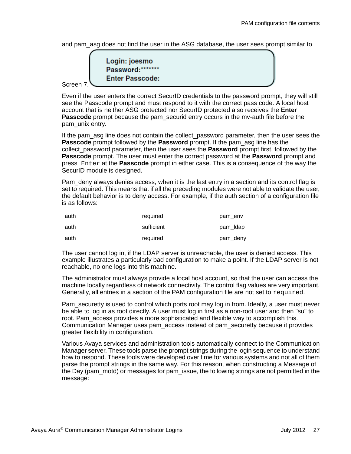and pam\_asg does not find the user in the ASG database, the user sees prompt similar to

| Login: joesmo          |
|------------------------|
| Password:*******       |
| <b>Enter Passcode:</b> |
|                        |

Screen 7.

Even if the user enters the correct SecurID credentials to the password prompt, they will still see the Passcode prompt and must respond to it with the correct pass code. A local host account that is neither ASG protected nor SecurID protected also receives the **Enter Passcode** prompt because the pam securid entry occurs in the my-auth file before the pam\_unix entry.

If the pam asg line does not contain the collect password parameter, then the user sees the **Passcode** prompt followed by the **Password** prompt. If the pam\_asg line has the collect\_password parameter, then the user sees the **Password** prompt first, followed by the **Passcode** prompt. The user must enter the correct password at the **Password** prompt and press Enter at the **Passcode** prompt in either case. This is a consequence of the way the SecurID module is designed.

Pam\_deny always denies access, when it is the last entry in a section and its control flag is set to required. This means that if all the preceding modules were not able to validate the user, the default behavior is to deny access. For example, if the auth section of a configuration file is as follows:

| auth | required   | pam env  |
|------|------------|----------|
| auth | sufficient | pam_ldap |
| auth | required   | pam_deny |

The user cannot log in, if the LDAP server is unreachable, the user is denied access. This example illustrates a particularly bad configuration to make a point. If the LDAP server is not reachable, no one logs into this machine.

The administrator must always provide a local host account, so that the user can access the machine locally regardless of network connectivity. The control flag values are very important. Generally, all entries in a section of the PAM configuration file are not set to  $reguired$ .

Pam\_securetty is used to control which ports root may log in from. Ideally, a user must never be able to log in as root directly. A user must log in first as a non-root user and then "su" to root. Pam\_access provides a more sophisticated and flexible way to accomplish this. Communication Manager uses pam\_access instead of pam\_securetty because it provides greater flexibility in configuration.

Various Avaya services and administration tools automatically connect to the Communication Manager server. These tools parse the prompt strings during the login sequence to understand how to respond. These tools were developed over time for various systems and not all of them parse the prompt strings in the same way. For this reason, when constructing a Message of the Day (pam\_motd) or messages for pam\_issue, the following strings are not permitted in the message: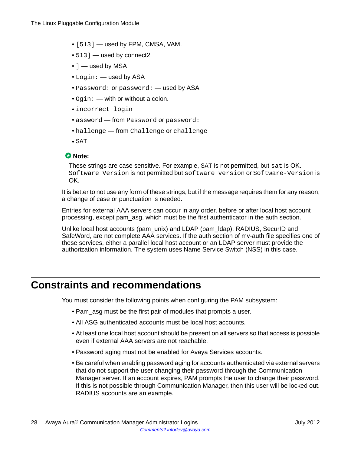- <span id="page-27-0"></span>• [513] — used by FPM, CMSA, VAM.
- 513 m used by connect 2
- 1 used by MSA
- Login: used by ASA
- Password: or password: used by ASA
- $\bullet$  Ogin: with or without a colon.
- incorrect login
- assword from Password or password:
- hallenge from Challenge or challenge
- $\bullet$  SAT

#### **Note:**

These strings are case sensitive. For example, SAT is not permitted, but sat is OK. Software Version is not permitted but software version or Software-Version is OK.

It is better to not use any form of these strings, but if the message requires them for any reason, a change of case or punctuation is needed.

Entries for external AAA servers can occur in any order, before or after local host account processing, except pam\_asg, which must be the first authenticator in the auth section.

Unlike local host accounts (pam\_unix) and LDAP (pam\_ldap), RADIUS, SecurID and SafeWord, are not complete AAA services. If the auth section of mv-auth file specifies one of these services, either a parallel local host account or an LDAP server must provide the authorization information. The system uses Name Service Switch (NSS) in this case.

## **Constraints and recommendations**

You must consider the following points when configuring the PAM subsystem:

- Pam asg must be the first pair of modules that prompts a user.
- All ASG authenticated accounts must be local host accounts.
- At least one local host account should be present on all servers so that access is possible even if external AAA servers are not reachable.
- Password aging must not be enabled for Avaya Services accounts.
- Be careful when enabling password aging for accounts authenticated via external servers that do not support the user changing their password through the Communication Manager server. If an account expires, PAM prompts the user to change their password. If this is not possible through Communication Manager, then this user will be locked out. RADIUS accounts are an example.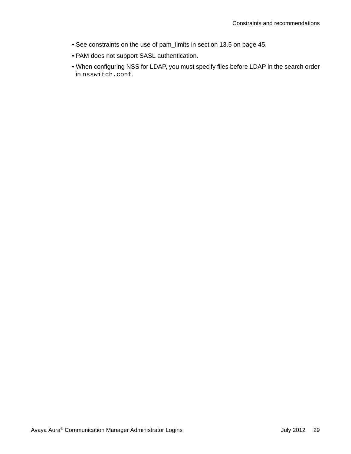- See constraints on the use of pam\_limits in section 13.5 on page 45.
- PAM does not support SASL authentication.
- When configuring NSS for LDAP, you must specify files before LDAP in the search order in nsswitch.conf.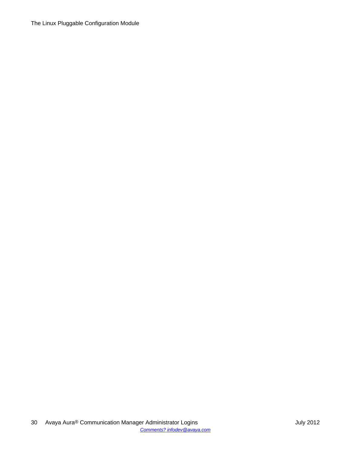The Linux Pluggable Configuration Module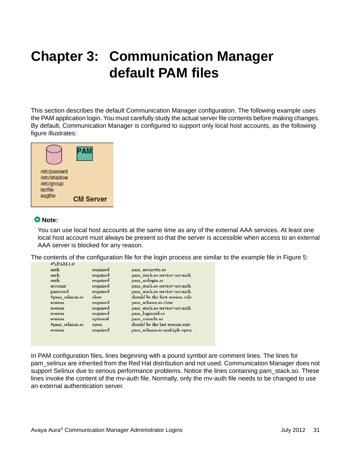# <span id="page-30-0"></span>**Chapter 3: Communication Manager default PAM files**

This section describes the default Communication Manager configuration. The following example uses the PAM application login. You must carefully study the actual server file contents before making changes. By default, Communication Manager is configured to support only local host accounts, as the following figure illustrates:



#### **Note:**

You can use local host accounts at the same time as any of the external AAA services. At least one local host account must always be present so that the server is accessible when access to an external AAA server is blocked for any reason.

The contents of the configuration file for the login process are similar to the example file in Figure 5:

| $\pi$ /01 AIVP 1.0 |          |                                  |
|--------------------|----------|----------------------------------|
| auth               | required | pam securetty.so                 |
| auth               | required | pam stack.so service=mv-auth     |
| auth               | required | pam nologin.so                   |
| account            | required | pam stack.so service=mv-auth     |
| password           | required | pam stack.so service=mv-auth     |
| #pam selinux.so    | close    | should be the first session rule |
| session            | required | pam selinux.so close             |
| session            | required | pam stack.so service=mv-auth     |
| session            | required | pam loginuid.so                  |
| session            | optional | pam console.so                   |
| #pam_selinux.so    | open     | should be the last session rule  |
| session            | required | pam selinux.so multiple open     |
|                    |          |                                  |

In PAM configuration files, lines beginning with a pound symbol are comment lines. The lines for pam\_selinux are inherited from the Red Hat distribution and not used. Communication Manager does not support Selinux due to serious performance problems. Notice the lines containing pam\_stack.so. These lines invoke the content of the mv-auth file. Normally, only the mv-auth file needs to be changed to use an external authentication server.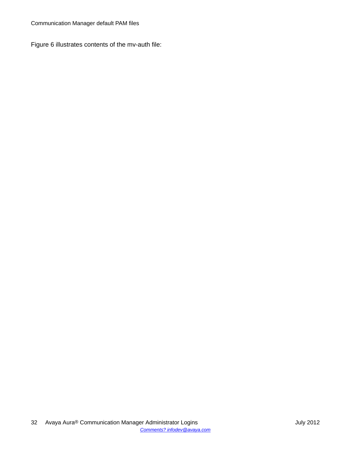Communication Manager default PAM files

Figure 6 illustrates contents of the mv-auth file: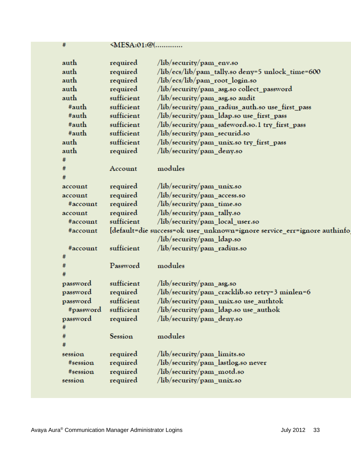## <MESA:01:@(..............

 $\#$ 

| auth      | required   | /lib/security/pam_env.so                                               |
|-----------|------------|------------------------------------------------------------------------|
| auth      | required   | /lib/ecs/lib/pam_tally.so deny=5 unlock_time=600                       |
| auth      | required   | /lib/ecs/lib/pam_root_login.so                                         |
| auth      | required   | /lib/security/pam_asg.so collect_password                              |
| auth      | sufficient | /lib/security/pam_asg.so audit                                         |
| #auth     | sufficient | /lib/security/pam_radius_auth.so use_first_pass                        |
| #auth     | sufficient | /lib/security/pam_ldap.so use_first_pass                               |
| #auth     | sufficient |                                                                        |
| #auth     | sufficient | /lib/security/pam_securid.so                                           |
| auth      | sufficient | /lib/security/pam_unix.so try_first_pass                               |
| auth      | required   | /lib/security/pam_deny.so                                              |
| #         |            |                                                                        |
| #         | Account    | modules                                                                |
| #         |            |                                                                        |
| account   | required   | /lib/security/pam_unix.so                                              |
| account   | required   | $\frac{1}{\text{lib}}$ /security/pam access.so                         |
| #account  | required   | /lib/security/pam time.so                                              |
| account   | required   | /lib/security/pam tally.so                                             |
| #account  | sufficient | /lib/security/pam_local_user.so                                        |
| #account  |            | [default=die success=ok user_unknown=ignore service_err=ignore authinf |
|           |            | /lib/security/pam_ldap.so                                              |
| #account  | sufficient | /lib/security/pam radius.so                                            |
| #         |            |                                                                        |
| #         | Password   | modules                                                                |
| #         |            |                                                                        |
| password  | sufficient | /lib/security/pam_asg.so                                               |
| password  | required   | /lib/security/pam_cracklib.so retry=3 minlen=6                         |
| password  | sufficient | /lib/security/pam_unix.so use_authtok                                  |
| #password | sufficient | /lib/security/pam_ldap.so use_authok                                   |
| password  | required   | /lib/security/pam deny.so                                              |
| #         |            |                                                                        |
| #         | Session    | modules                                                                |
| #         |            |                                                                        |
| session   | required   | /lib/security/pam_limits.so                                            |
| #session  | required   | /lib/security/pam_lastlog.so never                                     |
| #session  | required   | /lib/security/pam_motd.so                                              |
| session   | required   | /lib/security/pam_unix.so                                              |
|           |            |                                                                        |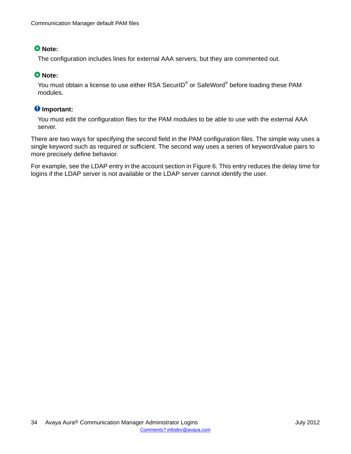### **Note:**

The configuration includes lines for external AAA servers, but they are commented out.

### **Note:**

You must obtain a license to use either RSA SecurID® or SafeWord® before loading these PAM modules.

#### **Important:**

You must edit the configuration files for the PAM modules to be able to use with the external AAA server.

There are two ways for specifying the second field in the PAM configuration files. The simple way uses a single keyword such as required or sufficient. The second way uses a series of keyword/value pairs to more precisely define behavior.

For example, see the LDAP entry in the account section in Figure 6. This entry reduces the delay time for logins if the LDAP server is not available or the LDAP server cannot identify the user.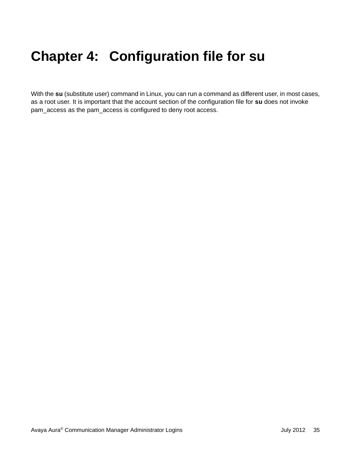# <span id="page-34-0"></span>**Chapter 4: Configuration file for su**

With the **su** (substitute user) command in Linux, you can run a command as different user, in most cases, as a root user. It is important that the account section of the configuration file for **su** does not invoke pam\_access as the pam\_access is configured to deny root access.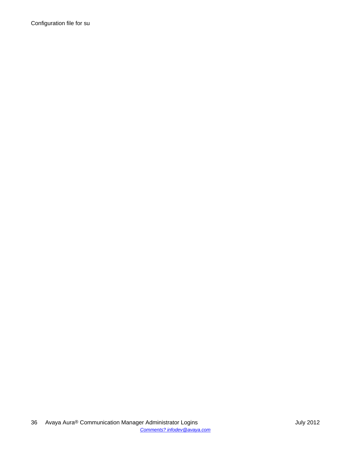Configuration file for su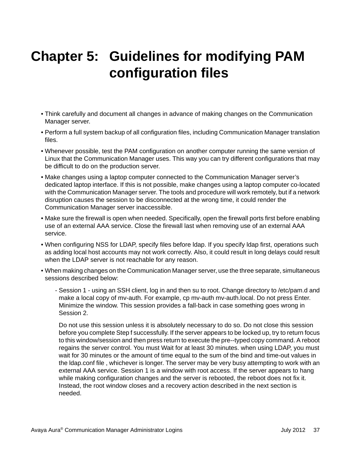# <span id="page-36-0"></span>**Chapter 5: Guidelines for modifying PAM configuration files**

- Think carefully and document all changes in advance of making changes on the Communication Manager server.
- Perform a full system backup of all configuration files, including Communication Manager translation files.
- Whenever possible, test the PAM configuration on another computer running the same version of Linux that the Communication Manager uses. This way you can try different configurations that may be difficult to do on the production server.
- Make changes using a laptop computer connected to the Communication Manager server's dedicated laptop interface. If this is not possible, make changes using a laptop computer co-located with the Communication Manager server. The tools and procedure will work remotely, but if a network disruption causes the session to be disconnected at the wrong time, it could render the Communication Manager server inaccessible.
- Make sure the firewall is open when needed. Specifically, open the firewall ports first before enabling use of an external AAA service. Close the firewall last when removing use of an external AAA service.
- When configuring NSS for LDAP, specify files before ldap. If you specify ldap first, operations such as adding local host accounts may not work correctly. Also, it could result in long delays could result when the LDAP server is not reachable for any reason.
- When making changes on the Communication Manager server, use the three separate, simultaneous sessions described below:
	- Session 1 using an SSH client, log in and then su to root. Change directory to /etc/pam.d and make a local copy of mv-auth. For example, cp mv-auth mv-auth.local. Do not press Enter. Minimize the window. This session provides a fall-back in case something goes wrong in Session 2.

Do not use this session unless it is absolutely necessary to do so. Do not close this session before you complete Step f successfully. If the server appears to be locked up, try to return focus to this window/session and then press return to execute the pre--typed copy command. A reboot regains the server control. You must Wait for at least 30 minutes. when using LDAP, you must wait for 30 minutes or the amount of time equal to the sum of the bind and time-out values in the ldap.conf file , whichever is longer. The server may be very busy attempting to work with an external AAA service. Session 1 is a window with root access. If the server appears to hang while making configuration changes and the server is rebooted, the reboot does not fix it. Instead, the root window closes and a recovery action described in the next section is needed.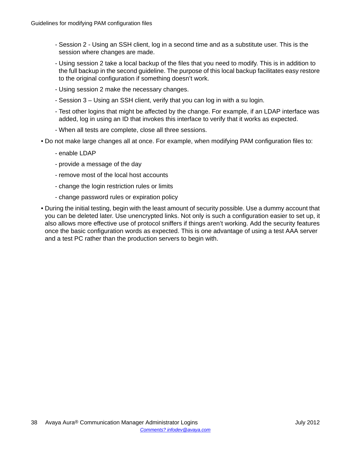- Session 2 Using an SSH client, log in a second time and as a substitute user. This is the session where changes are made.
- Using session 2 take a local backup of the files that you need to modify. This is in addition to the full backup in the second guideline. The purpose of this local backup facilitates easy restore to the original configuration if something doesn't work.
- Using session 2 make the necessary changes.
- Session 3 Using an SSH client, verify that you can log in with a su login.
- Test other logins that might be affected by the change. For example, if an LDAP interface was added, log in using an ID that invokes this interface to verify that it works as expected.
- When all tests are complete, close all three sessions.
- Do not make large changes all at once. For example, when modifying PAM configuration files to:
	- enable LDAP
	- provide a message of the day
	- remove most of the local host accounts
	- change the login restriction rules or limits
	- change password rules or expiration policy
- During the initial testing, begin with the least amount of security possible. Use a dummy account that you can be deleted later. Use unencrypted links. Not only is such a configuration easier to set up, it also allows more effective use of protocol sniffers if things aren't working. Add the security features once the basic configuration words as expected. This is one advantage of using a test AAA server and a test PC rather than the production servers to begin with.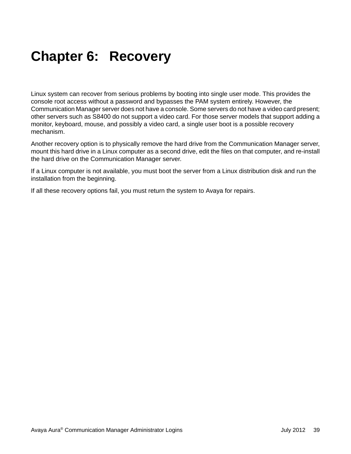# <span id="page-38-0"></span>**Chapter 6: Recovery**

Linux system can recover from serious problems by booting into single user mode. This provides the console root access without a password and bypasses the PAM system entirely. However, the Communication Manager server does not have a console. Some servers do not have a video card present; other servers such as S8400 do not support a video card. For those server models that support adding a monitor, keyboard, mouse, and possibly a video card, a single user boot is a possible recovery mechanism.

Another recovery option is to physically remove the hard drive from the Communication Manager server, mount this hard drive in a Linux computer as a second drive, edit the files on that computer, and re-install the hard drive on the Communication Manager server.

If a Linux computer is not available, you must boot the server from a Linux distribution disk and run the installation from the beginning.

If all these recovery options fail, you must return the system to Avaya for repairs.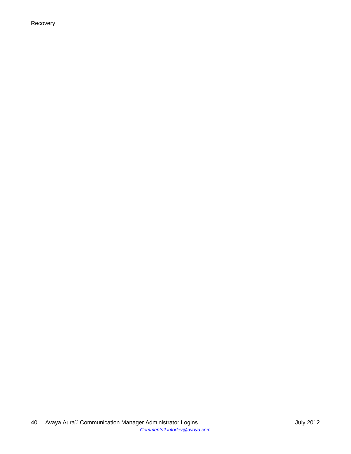Recovery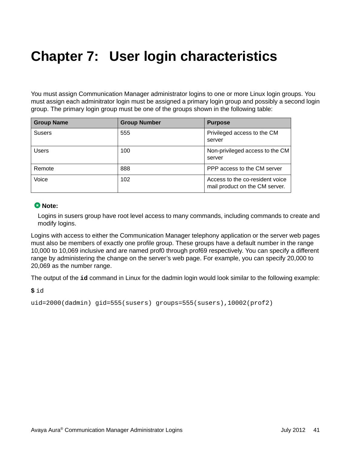# <span id="page-40-0"></span>**Chapter 7: User login characteristics**

You must assign Communication Manager administrator logins to one or more Linux login groups. You must assign each adminitrator login must be assigned a primary login group and possibly a second login group. The primary login group must be one of the groups shown in the following table:

| <b>Group Name</b> | <b>Group Number</b> | <b>Purpose</b>                                                    |
|-------------------|---------------------|-------------------------------------------------------------------|
| <b>Susers</b>     | 555                 | Privileged access to the CM<br>server                             |
| <b>Users</b>      | 100                 | Non-privileged access to the CM<br>server                         |
| Remote            | 888                 | PPP access to the CM server                                       |
| Voice             | 102                 | Access to the co-resident voice<br>mail product on the CM server. |

#### **Note:**

Logins in susers group have root level access to many commands, including commands to create and modify logins.

Logins with access to either the Communication Manager telephony application or the server web pages must also be members of exactly one profile group. These groups have a default number in the range 10,000 to 10,069 inclusive and are named prof0 through prof69 respectively. You can specify a different range by administering the change on the server's web page. For example, you can specify 20,000 to 20,069 as the number range.

The output of the **id** command in Linux for the dadmin login would look similar to the following example:

**\$** id

uid=2000(dadmin) gid=555(susers) groups=555(susers),10002(prof2)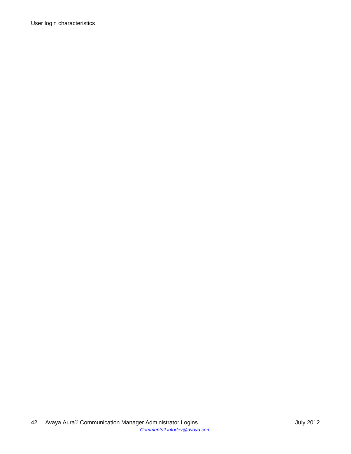User login characteristics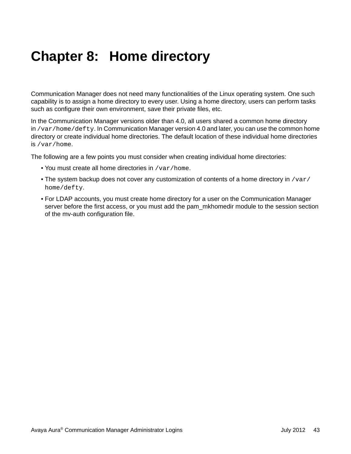# <span id="page-42-0"></span>**Chapter 8: Home directory**

Communication Manager does not need many functionalities of the Linux operating system. One such capability is to assign a home directory to every user. Using a home directory, users can perform tasks such as configure their own environment, save their private files, etc.

In the Communication Manager versions older than 4.0, all users shared a common home directory in /var/home/defty. In Communication Manager version 4.0 and later, you can use the common home directory or create individual home directories. The default location of these individual home directories is /var/home.

The following are a few points you must consider when creating individual home directories:

- You must create all home directories in /var/home.
- The system backup does not cover any customization of contents of a home directory in  $/var/$ home/defty.
- For LDAP accounts, you must create home directory for a user on the Communication Manager server before the first access, or you must add the pam\_mkhomedir module to the session section of the mv-auth configuration file.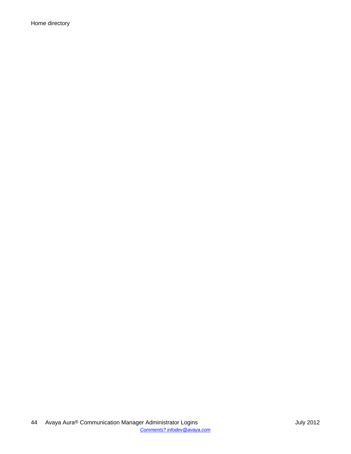Home directory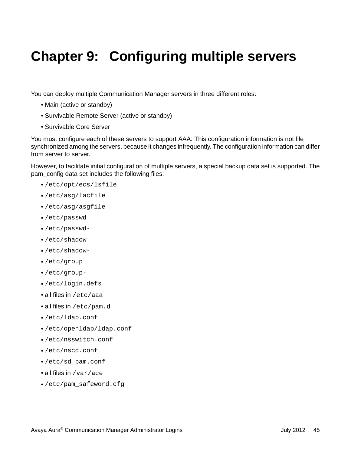# <span id="page-44-0"></span>**Chapter 9: Configuring multiple servers**

You can deploy multiple Communication Manager servers in three different roles:

- Main (active or standby)
- Survivable Remote Server (active or standby)
- Survivable Core Server

You must configure each of these servers to support AAA. This configuration information is not file synchronized among the servers, because it changes infrequently. The configuration information can differ from server to server.

However, to facilitate initial configuration of multiple servers, a special backup data set is supported. The pam\_config data set includes the following files:

- /etc/opt/ecs/lsfile
- /etc/asg/lacfile
- /etc/asg/asgfile
- /etc/passwd
- /etc/passwd-
- /etc/shadow
- /etc/shadow-
- /etc/group
- /etc/group-
- /etc/login.defs
- all files in /etc/aaa
- all files in /etc/pam.d
- /etc/ldap.conf
- /etc/openldap/ldap.conf
- /etc/nsswitch.conf
- /etc/nscd.conf
- /etc/sd\_pam.conf
- all files in /var/ace
- /etc/pam\_safeword.cfg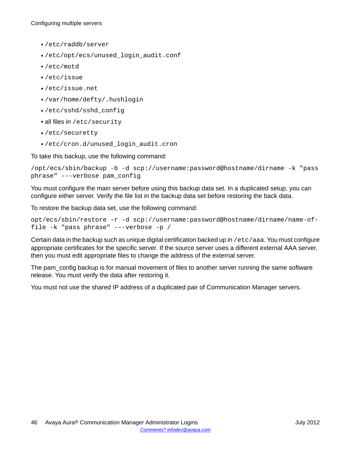- /etc/raddb/server
- /etc/opt/ecs/unused\_login\_audit.conf
- /etc/motd
- /etc/issue
- /etc/issue.net
- /var/home/defty/.hushlogin
- /etc/sshd/sshd\_config
- all files in /etc/security
- /etc/securetty
- /etc/cron.d/unused\_login\_audit.cron

To take this backup, use the following command:

```
/opt/ecs/sbin/backup -b -d scp://username:password@hostname/dirname -k "pass
phrase" ---verbose pam_config
```
You must configure the main server before using this backup data set. In a duplicated setup, you can configure either server. Verify the file list in the backup data set before restoring the back data.

To restore the backup data set, use the following command:

```
opt/ecs/sbin/restore -r -d scp://username:password@hostname/dirname/name-of-
file -k "pass phrase" ---verbose -p /
```
Certain data in the backup such as unique digital certification backed up in  $/etc/aaa$ . You must configure appropriate certificates for the specific server. If the source server uses a different external AAA server, then you must edit appropriate files to change the address of the external server.

The pam\_config backup is for manual movement of files to another server running the same software release. You must verify the data after restoring it.

You must not use the shared IP address of a duplicated pair of Communication Manager servers.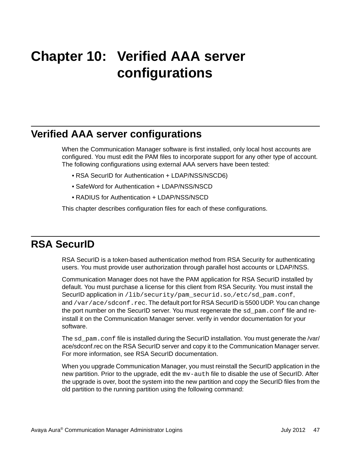# <span id="page-46-0"></span>**Chapter 10: Verified AAA server configurations**

# **Verified AAA server configurations**

When the Communication Manager software is first installed, only local host accounts are configured. You must edit the PAM files to incorporate support for any other type of account. The following configurations using external AAA servers have been tested:

- RSA SecurID for Authentication + LDAP/NSS/NSCD6)
- SafeWord for Authentication + LDAP/NSS/NSCD
- RADIUS for Authentication + LDAP/NSS/NSCD

This chapter describes configuration files for each of these configurations.

# **RSA SecurID**

RSA SecurID is a token-based authentication method from RSA Security for authenticating users. You must provide user authorization through parallel host accounts or LDAP/NSS.

Communication Manager does not have the PAM application for RSA SecurID installed by default. You must purchase a license for this client from RSA Security. You must install the SecurID application in /lib/security/pam\_securid.so,/etc/sd\_pam.conf, and /var/ace/sdconf.rec. The default port for RSA SecurID is 5500 UDP. You can change the port number on the SecurID server. You must regenerate the sd\_pam.conf file and reinstall it on the Communication Manager server. verify in vendor documentation for your software.

The sd pam.conf file is installed during the SecurID installation. You must generate the /var/ ace/sdconf.rec on the RSA SecurID server and copy it to the Communication Manager server. For more information, see RSA SecurID documentation.

When you upgrade Communication Manager, you must reinstall the SecurID application in the new partition. Prior to the upgrade, edit the mv-auth file to disable the use of SecurID. After the upgrade is over, boot the system into the new partition and copy the SecurID files from the old partition to the running partition using the following command: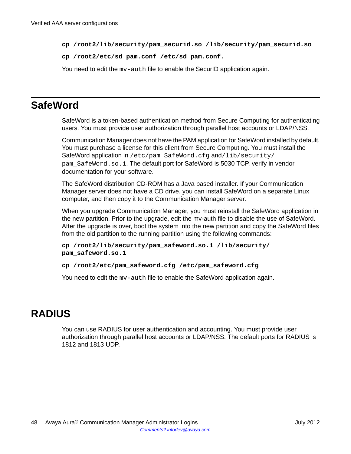<span id="page-47-0"></span>**cp /root2/lib/security/pam\_securid.so /lib/security/pam\_securid.so**

```
cp /root2/etc/sd_pam.conf /etc/sd_pam.conf.
```
You need to edit the mv-auth file to enable the SecurID application again.

## **SafeWord**

SafeWord is a token-based authentication method from Secure Computing for authenticating users. You must provide user authorization through parallel host accounts or LDAP/NSS.

Communication Manager does not have the PAM application for SafeWord installed by default. You must purchase a license for this client from Secure Computing. You must install the SafeWord application in /etc/pam\_SafeWord.cfg and/lib/security/ pam\_SafeWord.so.1. The default port for SafeWord is 5030 TCP. verify in vendor documentation for your software.

The SafeWord distribution CD-ROM has a Java based installer. If your Communication Manager server does not have a CD drive, you can install SafeWord on a separate Linux computer, and then copy it to the Communication Manager server.

When you upgrade Communication Manager, you must reinstall the SafeWord application in the new partition. Prior to the upgrade, edit the mv-auth file to disable the use of SafeWord. After the upgrade is over, boot the system into the new partition and copy the SafeWord files from the old partition to the running partition using the following commands:

```
cp /root2/lib/security/pam_safeword.so.1 /lib/security/
pam_safeword.so.1
```

```
cp /root2/etc/pam_safeword.cfg /etc/pam_safeword.cfg
```
You need to edit the mv-auth file to enable the SafeWord application again.

# **RADIUS**

You can use RADIUS for user authentication and accounting. You must provide user authorization through parallel host accounts or LDAP/NSS. The default ports for RADIUS is 1812 and 1813 UDP.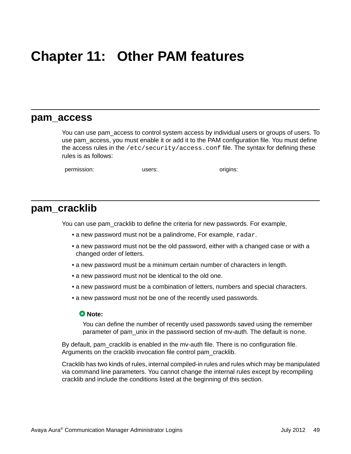# <span id="page-48-0"></span>**Chapter 11: Other PAM features**

## **pam\_access**

You can use pam\_access to control system access by individual users or groups of users. To use pam\_access, you must enable it or add it to the PAM configuration file. You must define the access rules in the /etc/security/access.conf file. The syntax for defining these rules is as follows:

permission: users: users: origins:

## **pam\_cracklib**

You can use pam\_cracklib to define the criteria for new passwords. For example,

- a new password must not be a palindrome, For example, radar.
- a new password must not be the old password, either with a changed case or with a changed order of letters.
- a new password must be a minimum certain number of characters in length.
- a new password must not be identical to the old one.
- a new password must be a combination of letters, numbers and special characters.
- a new password must not be one of the recently used passwords.

#### **Note:**

You can define the number of recently used passwords saved using the remember parameter of pam\_unix in the password section of mv-auth. The default is none.

By default, pam cracklib is enabled in the mv-auth file. There is no configuration file. Arguments on the cracklib invocation file control pam\_cracklib.

Cracklib has two kinds of rules, internal compiled-in rules and rules which may be manipulated via command line parameters. You cannot change the internal rules except by recompiling cracklib and include the conditions listed at the beginning of this section.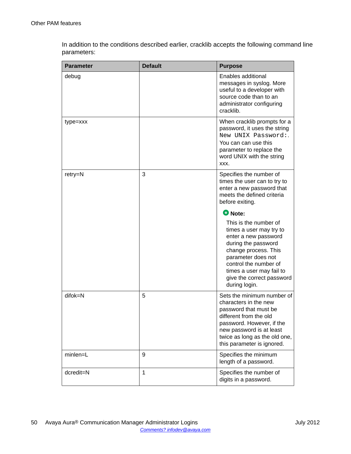In addition to the conditions described earlier, cracklib accepts the following command line parameters:

| <b>Parameter</b> | <b>Default</b> | <b>Purpose</b>                                                                                                                                                                                                                                   |
|------------------|----------------|--------------------------------------------------------------------------------------------------------------------------------------------------------------------------------------------------------------------------------------------------|
| debug            |                | Enables additional<br>messages in syslog. More<br>useful to a developer with<br>source code than to an<br>administrator configuring<br>cracklib.                                                                                                 |
| type=xxx         |                | When cracklib prompts for a<br>password, it uses the string<br>New UNIX Password:.<br>You can can use this<br>parameter to replace the<br>word UNIX with the string<br>XXX.                                                                      |
| retry=N          | 3              | Specifies the number of<br>times the user can to try to<br>enter a new password that<br>meets the defined criteria<br>before exiting.                                                                                                            |
|                  |                | <b>O</b> Note:                                                                                                                                                                                                                                   |
|                  |                | This is the number of<br>times a user may try to<br>enter a new password<br>during the password<br>change process. This<br>parameter does not<br>control the number of<br>times a user may fail to<br>give the correct password<br>during login. |
| difok=N          | 5              | Sets the minimum number of<br>characters in the new<br>password that must be<br>different from the old<br>password. However, if the<br>new password is at least<br>twice as long as the old one,<br>this parameter is ignored.                   |
| minlen=L         | 9              | Specifies the minimum<br>length of a password.                                                                                                                                                                                                   |
| dcredit=N        | 1              | Specifies the number of<br>digits in a password.                                                                                                                                                                                                 |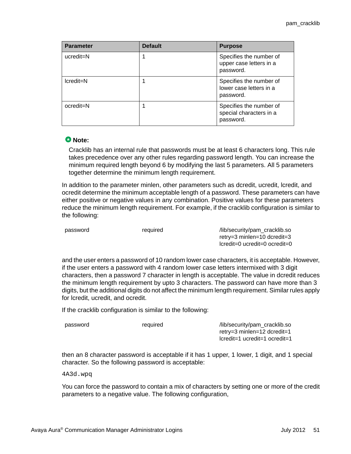| <b>Parameter</b> | <b>Default</b> | <b>Purpose</b>                                                  |
|------------------|----------------|-----------------------------------------------------------------|
| ucredit=N        |                | Specifies the number of<br>upper case letters in a<br>password. |
| $l$ credit= $N$  |                | Specifies the number of<br>lower case letters in a<br>password. |
| ocredit=N        |                | Specifies the number of<br>special characters in a<br>password. |

#### **Note:**

Cracklib has an internal rule that passwords must be at least 6 characters long. This rule takes precedence over any other rules regarding password length. You can increase the minimum required length beyond 6 by modifying the last 5 parameters. All 5 parameters together determine the minimum length requirement.

In addition to the parameter minlen, other parameters such as dcredit, ucredit, lcredit, and ocredit determine the minimum acceptable length of a password. These parameters can have either positive or negative values in any combination. Positive values for these parameters reduce the minimum length requirement. For example, if the cracklib configuration is similar to the following:

password **required** required /lib/security/pam\_cracklib.so retry=3 minlen=10 dcredit=3 lcredit=0 ucredit=0 ocredit=0

and the user enters a password of 10 random lower case characters, it is acceptable. However, if the user enters a password with 4 random lower case letters intermixed with 3 digit characters, then a password 7 character in length is acceptable. The value in dcredit reduces the minimum length requirement by upto 3 characters. The password can have more than 3 digits, but the additional digits do not affect the minimum length requirement. Similar rules apply for lcredit, ucredit, and ocredit.

If the cracklib configuration is similar to the following:

| password | required | /lib/security/pam_cracklib.so    |
|----------|----------|----------------------------------|
|          |          | retry=3 minlen=12 dcredit=1      |
|          |          | $l$ credit=1 ucredit=1 ocredit=1 |
|          |          |                                  |

then an 8 character password is acceptable if it has 1 upper, 1 lower, 1 digit, and 1 special character. So the following password is acceptable:

4A3d.wpq

You can force the password to contain a mix of characters by setting one or more of the credit parameters to a negative value. The following configuration,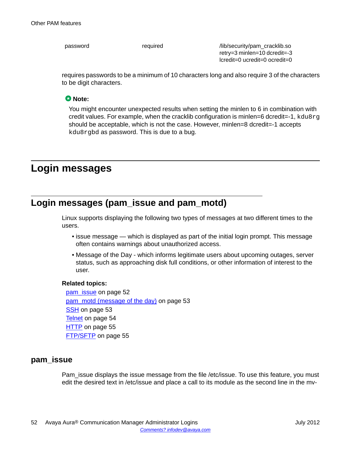<span id="page-51-0"></span>password **required** required /lib/security/pam\_cracklib.so retry=3 minlen=10 dcredit=-3 lcredit=0 ucredit=0 ocredit=0

requires passwords to be a minimum of 10 characters long and also require 3 of the characters to be digit characters.

#### **Note:**

You might encounter unexpected results when setting the minlen to 6 in combination with credit values. For example, when the cracklib configuration is minlen=6 dcredit=-1,  $kdu8rg$ should be acceptable, which is not the case. However, minlen=8 dcredit=-1 accepts kdu8rgbd as password. This is due to a bug.

## **Login messages**

## **Login messages (pam\_issue and pam\_motd)**

Linux supports displaying the following two types of messages at two different times to the users.

- issue message which is displayed as part of the initial login prompt. This message often contains warnings about unauthorized access.
- Message of the Day which informs legitimate users about upcoming outages, server status, such as approaching disk full conditions, or other information of interest to the user.

#### **Related topics:**

pam\_issue on page 52 [pam\\_motd \(message of the day\)](#page-52-0) on page 53 [SSH](#page-52-0) on page 53 [Telnet](#page-53-0) on page 54 **HTTP** on page 55 [FTP/SFTP](#page-54-0) on page 55

### **pam\_issue**

Pam\_issue displays the issue message from the file /etc/issue. To use this feature, you must edit the desired text in /etc/issue and place a call to its module as the second line in the mv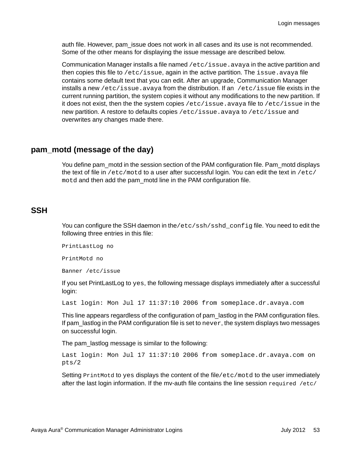<span id="page-52-0"></span>auth file. However, pam\_issue does not work in all cases and its use is not recommended. Some of the other means for displaying the issue message are described below.

Communication Manager installs a file named /etc/issue.avaya in the active partition and then copies this file to  $/etc/jssue$ , again in the active partition. The issue avaya file contains some default text that you can edit. After an upgrade, Communication Manager installs a new /etc/issue.avaya from the distribution. If an /etc/issue file exists in the current running partition, the system copies it without any modifications to the new partition. If it does not exist, then the the system copies /etc/issue.avaya file to /etc/issue in the new partition. A restore to defaults copies /etc/issue.avaya to /etc/issue and overwrites any changes made there.

### **pam\_motd (message of the day)**

You define pam motd in the session section of the PAM configuration file. Pam motd displays the text of file in  $/$ etc/motd to a user after successful login. You can edit the text in  $/$ etc/ motd and then add the pam\_motd line in the PAM configuration file.

## **SSH**

You can configure the SSH daemon in the/etc/ssh/sshd\_config file. You need to edit the following three entries in this file:

PrintLastLog no

PrintMotd no

Banner /etc/issue

If you set PrintLastLog to yes, the following message displays immediately after a successful login:

Last login: Mon Jul 17 11:37:10 2006 from someplace.dr.avaya.com

This line appears regardless of the configuration of pam\_lastlog in the PAM configuration files. If pam\_lastlog in the PAM configuration file is set to never, the system displays two messages on successful login.

The pam\_lastlog message is similar to the following:

Last login: Mon Jul 17 11:37:10 2006 from someplace.dr.avaya.com on pts/2

Setting  $PrintMotd$  to yes displays the content of the file/etc/motd to the user immediately after the last login information. If the my-auth file contains the line session  $\text{regularized}$  /etc/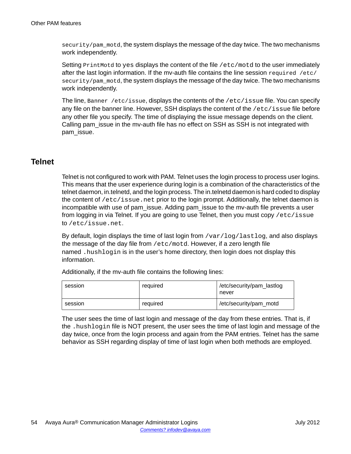<span id="page-53-0"></span> $\text{security/pam}$  motd, the system displays the message of the day twice. The two mechanisms work independently.

Setting  $PrintMotd$  to yes displays the content of the file /etc/motd to the user immediately after the last login information. If the mv-auth file contains the line session  $\text{required } / \text{etc}$  $\text{security/pam\_modd}$ , the system displays the message of the day twice. The two mechanisms work independently.

The line, Banner /etc/issue, displays the contents of the /etc/issue file. You can specify any file on the banner line. However, SSH displays the content of the /etc/issue file before any other file you specify. The time of displaying the issue message depends on the client. Calling pam\_issue in the mv-auth file has no effect on SSH as SSH is not integrated with pam\_issue.

### **Telnet**

Telnet is not configured to work with PAM. Telnet uses the login process to process user logins. This means that the user experience during login is a combination of the characteristics of the telnet daemon, in.telnetd, and the login process. The in.telnetd daemon is hard coded to display the content of  $/etc/jssue.net$  prior to the login prompt. Additionally, the telnet daemon is incompatible with use of pam\_issue. Adding pam\_issue to the mv-auth file prevents a user from logging in via Telnet. If you are going to use Telnet, then you must copy /etc/issue to /etc/issue.net.

By default, login displays the time of last login from  $/var/log/lastlog$ , and also displays the message of the day file from /etc/motd. However, if a zero length file named .hushlogin is in the user's home directory, then login does not display this information.

Additionally, if the mv-auth file contains the following lines:

| session | required | /etc/security/pam_lastlog<br>never |
|---------|----------|------------------------------------|
| session | required | /etc/security/pam_motd             |

The user sees the time of last login and message of the day from these entries. That is, if the .hushlogin file is NOT present, the user sees the time of last login and message of the day twice, once from the login process and again from the PAM entries. Telnet has the same behavior as SSH regarding display of time of last login when both methods are employed.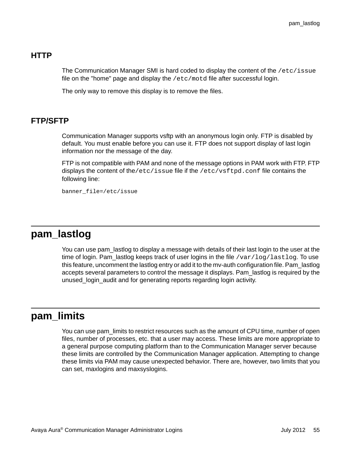## <span id="page-54-0"></span>**HTTP**

The Communication Manager SMI is hard coded to display the content of the /etc/issue file on the "home" page and display the /etc/motd file after successful login.

The only way to remove this display is to remove the files.

## **FTP/SFTP**

Communication Manager supports vsftp with an anonymous login only. FTP is disabled by default. You must enable before you can use it. FTP does not support display of last login information nor the message of the day.

FTP is not compatible with PAM and none of the message options in PAM work with FTP. FTP displays the content of the/etc/issue file if the /etc/vsftpd.conf file contains the following line:

banner\_file=/etc/issue

## **pam\_lastlog**

You can use pam\_lastlog to display a message with details of their last login to the user at the time of login. Pam\_lastlog keeps track of user logins in the file  $/var/log/lastlog$ . To use this feature, uncomment the lastlog entry or add it to the mv-auth configuration file. Pam\_lastlog accepts several parameters to control the message it displays. Pam\_lastlog is required by the unused\_login\_audit and for generating reports regarding login activity.

## **pam\_limits**

You can use pam\_limits to restrict resources such as the amount of CPU time, number of open files, number of processes, etc. that a user may access. These limits are more appropriate to a general purpose computing platform than to the Communication Manager server because these limits are controlled by the Communication Manager application. Attempting to change these limits via PAM may cause unexpected behavior. There are, however, two limits that you can set, maxlogins and maxsyslogins.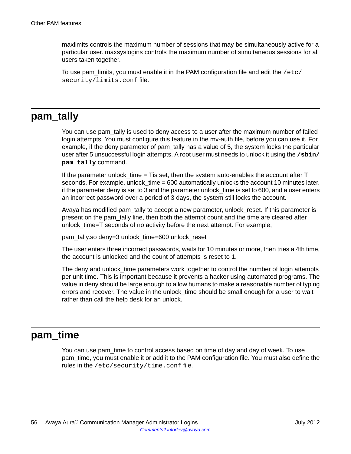<span id="page-55-0"></span>maxlimits controls the maximum number of sessions that may be simultaneously active for a particular user. maxsyslogins controls the maximum number of simultaneous sessions for all users taken together.

To use pam\_limits, you must enable it in the PAM configuration file and edit the  $/etc/$ security/limits.conf file.

# **pam\_tally**

You can use pam tally is used to deny access to a user after the maximum number of failed login attempts. You must configure this feature in the mv-auth file, before you can use it. For example, if the deny parameter of pam\_tally has a value of 5, the system locks the particular user after 5 unsuccessful login attempts. A root user must needs to unlock it using the **/sbin/ pam\_tally** command.

If the parameter unlock time  $=$  Tis set, then the system auto-enables the account after T seconds. For example, unlock\_time = 600 automatically unlocks the account 10 minutes later. if the parameter deny is set to 3 and the parameter unlock time is set to 600, and a user enters an incorrect password over a period of 3 days, the system still locks the account.

Avaya has modified pam tally to accept a new parameter, unlock reset. If this parameter is present on the pam\_tally line, then both the attempt count and the time are cleared after unlock time=T seconds of no activity before the next attempt. For example,

pam\_tally.so deny=3 unlock\_time=600 unlock\_reset

The user enters three incorrect passwords, waits for 10 minutes or more, then tries a 4th time, the account is unlocked and the count of attempts is reset to 1.

The deny and unlock time parameters work together to control the number of login attempts per unit time. This is important because it prevents a hacker using automated programs. The value in deny should be large enough to allow humans to make a reasonable number of typing errors and recover. The value in the unlock\_time should be small enough for a user to wait rather than call the help desk for an unlock.

## **pam\_time**

You can use pam\_time to control access based on time of day and day of week. To use pam\_time, you must enable it or add it to the PAM configuration file. You must also define the rules in the /etc/security/time.conf file.